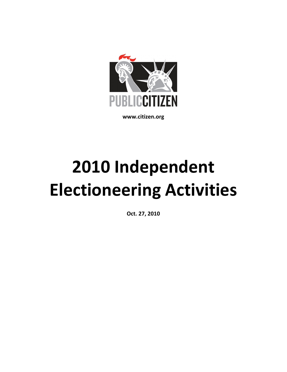

www.citizen.org

# 2010 Independent Electioneering Activities

Oct. 27, 2010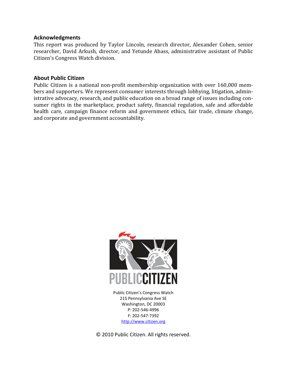#### Acknowledgments

This report was produced by Taylor Lincoln, research director, Alexander Cohen, senior researcher, David Arkush, director, and Yetunde Abass, administrative assistant of Public Citizen's Congress Watch division.

#### About Public Citizen

Public Citizen is a national non-profit membership organization with over 160,000 members and supporters. We represent consumer interests through lobbying, litigation, administrative advocacy, research, and public education on a broad range of issues including consumer rights in the marketplace, product safety, financial regulation, safe and affordable health care, campaign finance reform and government ethics, fair trade, climate change, and corporate and government accountability.



Public Citizen's Congress Watch 215 Pennsylvania Ave SE Washington, DC 20003 P: 202-546-4996 F: 202-547-7392 http://www.citizen.org

© 2010 Public Citizen. All rights reserved.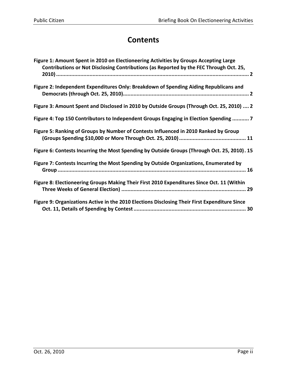# **Contents**

| Figure 1: Amount Spent in 2010 on Electioneering Activities by Groups Accepting Large<br>Contributions or Not Disclosing Contributions (as Reported by the FEC Through Oct. 25, |
|---------------------------------------------------------------------------------------------------------------------------------------------------------------------------------|
| Figure 2: Independent Expenditures Only: Breakdown of Spending Aiding Republicans and                                                                                           |
| Figure 3: Amount Spent and Disclosed in 2010 by Outside Groups (Through Oct. 25, 2010)  2                                                                                       |
| Figure 4: Top 150 Contributors to Independent Groups Engaging in Election Spending  7                                                                                           |
| Figure 5: Ranking of Groups by Number of Contests Influenced in 2010 Ranked by Group                                                                                            |
| Figure 6: Contests Incurring the Most Spending by Outside Groups (Through Oct. 25, 2010). 15                                                                                    |
| Figure 7: Contests Incurring the Most Spending by Outside Organizations, Enumerated by                                                                                          |
| Figure 8: Electioneering Groups Making Their First 2010 Expenditures Since Oct. 11 (Within                                                                                      |
| Figure 9: Organizations Active in the 2010 Elections Disclosing Their First Expenditure Since                                                                                   |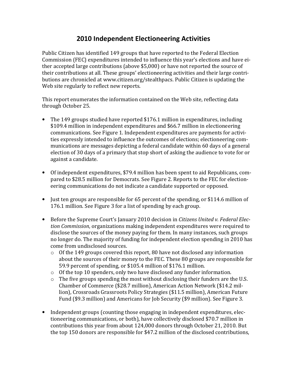## 2010 Independent Electioneering Activities

Public Citizen has identified 149 groups that have reported to the Federal Election Commission (FEC) expenditures intended to influence this year's elections and have either accepted large contributions (above \$5,000) or have not reported the source of their contributions at all. These groups' electioneering activities and their large contributions are chronicled at www.citizen.org/stealthpacs. Public Citizen is updating the Web site regularly to reflect new reports.

This report enumerates the information contained on the Web site, reflecting data through October 25.

- The 149 groups studied have reported \$176.1 million in expenditures, including \$109.4 million in independent expenditures and \$66.7 million in electioneering communications. See Figure 1. Independent expenditures are payments for activities expressly intended to influence the outcomes of elections; electioneering communications are messages depicting a federal candidate within 60 days of a general election of 30 days of a primary that stop short of asking the audience to vote for or against a candidate.
- Of independent expenditures, \$79.4 million has been spent to aid Republicans, compared to \$28.5 million for Democrats. See Figure 2. Reports to the FEC for electioneering communications do not indicate a candidate supported or opposed.
- Just ten groups are responsible for 65 percent of the spending, or \$114.6 million of 176.1 million. See Figure 3 for a list of spending by each group.
- Before the Supreme Court's January 2010 decision in Citizens United v. Federal Election Commission, organizations making independent expenditures were required to disclose the sources of the money paying for them. In many instances, such groups no longer do. The majority of funding for independent election spending in 2010 has come from undisclosed sources.
	- $\circ$  Of the 149 groups covered this report, 80 have not disclosed any information about the sources of their money to the FEC. These 80 groups are responsible for 59.9 percent of spending, or \$105.4 million of \$176.1 million.
	- o Of the top 10 spenders, only two have disclosed any funder information.
	- o The five groups spending the most without disclosing their funders are the U.S. Chamber of Commerce (\$28.7 million), American Action Network (\$14.2 million), Crossroads Grassroots Policy Strategies (\$11.5 million), American Future Fund (\$9.3 million) and Americans for Job Security (\$9 million). See Figure 3.
- Independent groups (counting those engaging in independent expenditures, electioneering communications, or both), have collectively disclosed \$70.7 million in contributions this year from about 124,000 donors through October 21, 2010. But the top 150 donors are responsible for \$47.2 million of the disclosed contributions,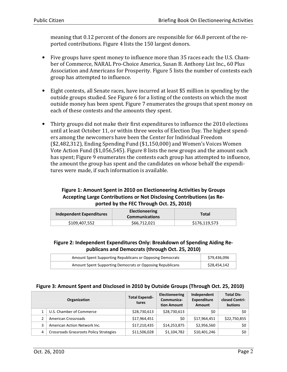meaning that 0.12 percent of the donors are responsible for 66.8 percent of the reported contributions. Figure 4 lists the 150 largest donors.

- Five groups have spent money to influence more than 35 races each: the U.S. Chamber of Commerce, NARAL Pro-Choice America, Susan B. Anthony List Inc., 60 Plus Association and Americans for Prosperity. Figure 5 lists the number of contests each group has attempted to influence.
- Eight contests, all Senate races, have incurred at least \$5 million in spending by the outside groups studied. See Figure 6 for a listing of the contests on which the most outside money has been spent. Figure 7 enumerates the groups that spent money on each of these contests and the amounts they spent.
- Thirty groups did not make their first expenditures to influence the 2010 elections until at least October 11, or within three weeks of Election Day. The highest spenders among the newcomers have been the Center for Individual Freedom (\$2,482,312), Ending Spending Fund (\$1,150,000) and Women's Voices Women Vote Action Fund (\$1,056,545). Figure 8 lists the new groups and the amount each has spent; Figure 9 enumerates the contests each group has attempted to influence, the amount the group has spent and the candidates on whose behalf the expenditures were made, if such information is available.

#### Figure 1: Amount Spent in 2010 on Electioneering Activities by Groups Accepting Large Contributions or Not Disclosing Contributions (as Reported by the FEC Through Oct. 25, 2010)

| <b>Independent Expenditures</b> | Electioneering<br><b>Communications</b> | Total         |
|---------------------------------|-----------------------------------------|---------------|
| \$109,407,552                   | \$66,712,021                            | \$176,119,573 |

#### Figure 2: Independent Expenditures Only: Breakdown of Spending Aiding Republicans and Democrats (through Oct. 25, 2010)

| Amount Spent Supporting Republicans or Opposing Democrats | \$79,436,096 |
|-----------------------------------------------------------|--------------|
| Amount Spent Supporting Democrats or Opposing Republicans | \$28,454,142 |

|   | Organization                            | <b>Total Expendi-</b><br>tures | <b>Electioneering</b><br>Communica-<br>tion Amount | Independent<br><b>Expenditure</b><br>Amount | <b>Total Dis-</b><br>closed Contri-<br>butions |
|---|-----------------------------------------|--------------------------------|----------------------------------------------------|---------------------------------------------|------------------------------------------------|
|   | U.S. Chamber of Commerce                | \$28,730,613                   | \$28,730,613                                       | \$0                                         | \$0                                            |
|   | American Crossroads                     | \$17,964,451                   | \$0                                                | \$17,964,451                                | \$22,750,855                                   |
| 3 | American Action Network Inc.            | \$17,210,435                   | \$14,253,875                                       | \$2,956,560                                 | \$0                                            |
| 4 | Crossroads Grassroots Policy Strategies | \$11,506,028                   | \$1,104,782                                        | \$10,401,246                                | \$0                                            |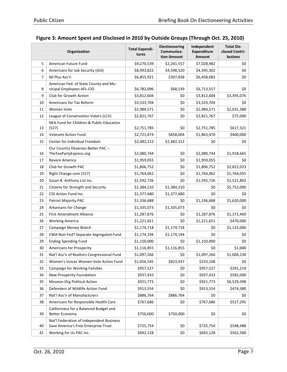|                | Organization                                                                     | <b>Total Expendi-</b><br>tures | Electioneering<br>Communica-<br>tion Amount | Independent<br><b>Expenditure</b><br><b>Amount</b> | <b>Total Dis-</b><br>closed Contri-<br>butions |
|----------------|----------------------------------------------------------------------------------|--------------------------------|---------------------------------------------|----------------------------------------------------|------------------------------------------------|
| 5              | American Future Fund                                                             | \$9,270,539                    | \$2,241,557                                 | \$7,028,982                                        | \$0                                            |
| 6              | Americans for Job Security (AJS)                                                 | \$8,993,822                    | \$4,598,520                                 | \$4,395,302                                        | \$0                                            |
| $\overline{7}$ | 60 Plus Ass'n                                                                    | \$6,855,921                    | \$397,838                                   | \$6,458,083                                        | \$0                                            |
| 8              | American Fed. of State County and Mu-<br>nicipal Employees AFL-CIO               | \$6,782,096                    | \$68,539                                    | \$6,713,557                                        | \$0                                            |
| 9              | Club for Growth Action                                                           | \$3,812,604                    | \$0                                         | \$3,812,604                                        | \$3,395,076                                    |
| 10             | Americans for Tax Reform                                                         | \$3,533,704                    | \$0                                         | \$3,533,704                                        | \$0                                            |
| 11             | Women Vote                                                                       | \$2,984,571                    | \$0                                         | \$2,984,571                                        | \$2,031,388                                    |
| 12             | League of Conservation Voters (LCV)                                              | \$2,821,767                    | \$0                                         | \$2,821,767                                        | \$75,000                                       |
| 13             | NEA Fund for Children & Public Education<br>(527)                                | \$2,751,785                    | \$0                                         | \$2,751,785                                        | \$617,321                                      |
| 14             | <b>Votevets Action Fund</b>                                                      | \$2,721,474                    | \$858,004                                   | \$1,863,470                                        | \$400,000                                      |
| 15             | Center for Individual Freedom                                                    | \$2,482,312                    | \$2,482,312                                 | \$0                                                | \$0                                            |
| 16             | Our Country Deserves Better PAC --<br>TheTeaPartyExpress.org                     | \$2,080,744                    | \$0                                         | \$2,080,744                                        | \$1,918,665                                    |
| 17             | Revere America                                                                   | \$1,959,055                    | \$0                                         | \$1,959,055                                        | \$0                                            |
| 18             | Club for Growth PAC                                                              | \$1,806,752                    | \$0                                         | \$1,806,752                                        | \$2,822,023                                    |
| 19             | Right Change.com (527)                                                           | \$1,764,062                    | \$0                                         | \$1,764,062                                        | \$1,764,055                                    |
| 20             | Susan B. Anthony List Inc.                                                       | \$1,592,726                    | \$0                                         | \$1,592,726                                        | \$1,521,802                                    |
| 21             | Citizens for Strength and Security                                               | \$1,384,210                    | \$1,384,210                                 | \$0                                                | \$5,752,000                                    |
| 22             | CSS Action Fund Inc.                                                             | \$1,377,680                    | \$1,377,680                                 | \$0                                                | \$0                                            |
| 23             | Patriot Majority PAC                                                             | \$1,336,688                    | \$0                                         | \$1,336,688                                        | \$1,620,000                                    |
| 24             | Arkansans for Change                                                             | \$1,335,073                    | \$1,335,073                                 | \$0                                                | \$0                                            |
| 25             | <b>First Amendment Alliance</b>                                                  | \$1,287,876                    | \$0                                         | \$1,287,876                                        | \$1,372,469                                    |
| 26             | <b>Working America</b>                                                           | \$1,221,651                    | \$0                                         | \$1,221,651                                        | \$470,000                                      |
| 27             | Campaign Money Watch                                                             | \$1,174,718                    | \$1,174,718                                 | \$0                                                | \$1,125,000                                    |
| 28             | CWA Non-Fed'l Separate Segregated Fund                                           | \$1,174,194                    | \$1,174,194                                 | \$0                                                | \$0                                            |
| 29             | <b>Ending Spending Fund</b>                                                      | \$1,150,000                    | \$0                                         | \$1,150,000                                        | \$0                                            |
| 30             | Americans for Prosperity                                                         | \$1,116,855                    | \$1,116,855                                 | \$0                                                | \$1,000                                        |
| 31             | Nat'l Ass'n of Realtors Congressional Fund                                       | \$1,097,266                    | Ş0                                          | \$1,097,266                                        | \$1,004,230                                    |
| 32             | Women's Voices Women Vote Action Fund                                            | \$1,056,545                    | \$823,437                                   | \$233,108                                          | \$0                                            |
| 33             | <b>Campaign for Working Families</b>                                             | \$957,527                      | \$0                                         | \$957,527                                          | \$291,219                                      |
| 34             | New Prosperity Foundation                                                        | \$937,433                      | \$0                                         | \$937,433                                          | \$582,000                                      |
| 35             | Moveon.Org Political Action                                                      | \$921,773                      | \$0                                         | \$921,773                                          | \$6,529,398                                    |
| 36             | Defenders of Wildlife Action Fund                                                | \$913,554                      | \$0                                         | \$913,554                                          | \$474,380                                      |
| 37             | Nat'l Ass'n of Manufacturers                                                     | \$886,764                      | \$886,764                                   | \$0                                                | \$0                                            |
| 38             | Americans for Responsible Health Care                                            | \$767,686                      | \$0                                         | \$767,686                                          | \$527,295                                      |
| 39             | Californians for a Balanced Budget and<br><b>Better Economy</b>                  | \$750,000                      | \$750,000                                   | \$0                                                | \$0                                            |
| 40             | Nat'l Federation of Independent Business<br>Save America's Free Enterprise Trust | \$725,754                      | \$0                                         | \$725,754                                          | \$548,488                                      |
| 41             | Working for Us PAC Inc.                                                          | \$692,128                      | \$0                                         | \$692,128                                          | \$562,500                                      |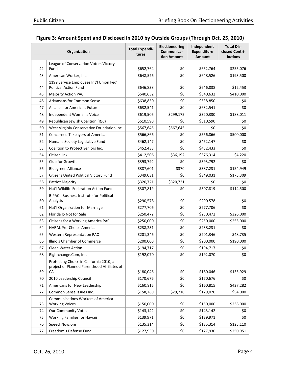|    | Organization                                                                           | <b>Total Expendi-</b><br>tures | <b>Electioneering</b><br>Communica-<br>tion Amount | Independent<br><b>Expenditure</b><br><b>Amount</b> | <b>Total Dis-</b><br>closed Contri-<br>butions |
|----|----------------------------------------------------------------------------------------|--------------------------------|----------------------------------------------------|----------------------------------------------------|------------------------------------------------|
|    | League of Conservation Voters Victory                                                  |                                |                                                    |                                                    |                                                |
| 42 | Fund                                                                                   | \$652,764                      | \$0                                                | \$652,764                                          | \$255,076                                      |
| 43 | American Worker, Inc.                                                                  | \$648,526                      | \$0                                                | \$648,526                                          | \$193,500                                      |
|    | 1199 Service Employees Int'l Union Fed'l                                               |                                |                                                    |                                                    |                                                |
| 44 | <b>Political Action Fund</b>                                                           | \$646,838                      | \$0                                                | \$646,838                                          | \$12,453                                       |
| 45 | <b>Majority Action PAC</b>                                                             | \$640,632                      | \$0                                                | \$640,632                                          | \$410,000                                      |
| 46 | Arkansans for Common Sense                                                             | \$638,850                      | \$0                                                | \$638,850                                          | \$0                                            |
| 47 | Alliance for America's Future                                                          | \$632,541                      | \$0                                                | \$632,541                                          | \$0                                            |
| 48 | Independent Women's Voice                                                              | \$619,505                      | \$299,175                                          | \$320,330                                          | \$188,011                                      |
| 49 | Republican Jewish Coalition (RJC)                                                      | \$610,590                      | \$0                                                | \$610,590                                          | \$0                                            |
| 50 | West Virginia Conservative Foundation Inc.                                             | \$567,645                      | \$567,645                                          | \$0                                                | \$0                                            |
| 51 | <b>Concerned Taxpayers of America</b>                                                  | \$566,866                      | \$0                                                | \$566,866                                          | \$500,000                                      |
| 52 | Humane Society Legislative Fund                                                        | \$462,147                      | \$0                                                | \$462,147                                          | \$0                                            |
| 53 | Coalition to Protect Seniors Inc.                                                      | \$452,433                      | \$0                                                | \$452,433                                          | \$0                                            |
| 54 | CitizenLink                                                                            | \$412,506                      | \$36,192                                           | \$376,314                                          | \$4,220                                        |
| 55 | Club for Growth                                                                        | \$393,792                      | \$0                                                | \$393,792                                          | \$0                                            |
| 56 | <b>Bluegreen Alliance</b>                                                              | \$387,601                      | \$370                                              | \$387,231                                          | \$154,949                                      |
| 57 | Citizens United Political Victory Fund                                                 | \$349,031                      | \$0                                                | \$349,031                                          | \$175,309                                      |
| 58 | Patriot Majority                                                                       | \$320,721                      | \$320,721                                          | \$0                                                | \$0                                            |
| 59 | Nat'l Wildlife Federation Action Fund                                                  | \$307,819                      | \$0                                                | \$307,819                                          | \$114,500                                      |
| 60 | <b>BIPAC</b> - Business Institute for Political<br>Analysis                            | \$290,578                      | \$0                                                | \$290,578                                          | \$0                                            |
| 61 | Nat'l Organization for Marriage                                                        | \$277,706                      | \$0                                                | \$277,706                                          | \$0                                            |
| 62 | Florida IS Not for Sale                                                                | \$250,472                      | \$0                                                | \$250,472                                          | \$326,000                                      |
| 63 | Citizens for a Working America PAC                                                     | \$250,000                      | \$0                                                | \$250,000                                          | \$255,000                                      |
| 64 | <b>NARAL Pro-Choice America</b>                                                        | \$238,231                      | \$0                                                | \$238,231                                          | \$0                                            |
| 65 | <b>Western Representation PAC</b>                                                      | \$201,346                      | \$0                                                | \$201,346                                          | \$48,735                                       |
| 66 | Illinois Chamber of Commerce                                                           | \$200,000                      | \$0                                                | \$200,000                                          | \$190,000                                      |
| 67 | <b>Clean Water Action</b>                                                              | \$194,717                      | \$0                                                | \$194,717                                          | \$0                                            |
| 68 | Rightchange.Com, Inc.                                                                  | \$192,070                      | Ş0                                                 | \$192,070                                          | Ş0                                             |
|    | Protecting Choice in California 2010, a<br>project of Planned Parenthood Affiliates of |                                |                                                    |                                                    |                                                |
| 69 | CA                                                                                     | \$180,046                      | \$0                                                | \$180,046                                          | \$135,929                                      |
| 70 | 2010 Leadership Council                                                                | \$170,676                      | \$0                                                | \$170,676                                          | \$0                                            |
| 71 | Americans for New Leadership                                                           | \$160,815                      | \$0                                                | \$160,815                                          | \$427,282                                      |
| 72 | Common Sense Issues Inc.                                                               | \$158,780                      | \$29,710                                           | \$129,070                                          | \$54,000                                       |
| 73 | <b>Communications Workers of America</b><br><b>Working Voices</b>                      | \$150,000                      | \$0                                                | \$150,000                                          | \$238,000                                      |
| 74 | Our Community Votes                                                                    | \$143,142                      | \$0                                                | \$143,142                                          | \$0                                            |
| 75 | Working Families for Hawaii                                                            | \$139,971                      | \$0                                                | \$139,971                                          | \$0                                            |
| 76 | SpeechNow.org                                                                          | \$135,314                      | \$0                                                | \$135,314                                          | \$125,110                                      |
| 77 | Freedom's Defense Fund                                                                 | \$127,930                      | \$0                                                | \$127,930                                          | \$250,951                                      |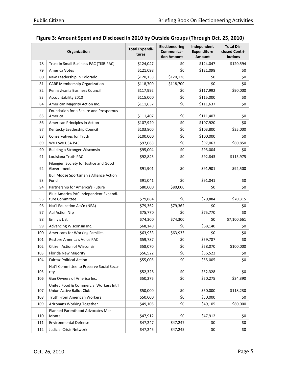|     | Organization                                                       | <b>Total Expendi-</b><br>tures | <b>Electioneering</b><br>Communica-<br>tion Amount | Independent<br><b>Expenditure</b><br>Amount | <b>Total Dis-</b><br>closed Contri-<br>butions |
|-----|--------------------------------------------------------------------|--------------------------------|----------------------------------------------------|---------------------------------------------|------------------------------------------------|
| 78  | Trust In Small Business PAC (TISB PAC)                             | \$124,047                      | \$0                                                | \$124,047                                   | \$120,594                                      |
| 79  | <b>America Votes</b>                                               | \$121,098                      | \$0                                                | \$121,098                                   | \$0                                            |
| 80  | New Leadership In Colorado                                         | \$120,138                      | \$120,138                                          | \$0                                         | \$0                                            |
| 81  | <b>CARE Membership Organization</b>                                | \$118,700                      | \$118,700                                          | \$0                                         | \$0                                            |
| 82  | Pennsylvania Business Council                                      | \$117,992                      | \$0                                                | \$117,992                                   | \$90,000                                       |
| 83  | Accountability 2010                                                | \$115,000                      | \$0                                                | \$115,000                                   | \$0                                            |
| 84  | American Majority Action Inc.                                      | \$111,637                      | \$0                                                | \$111,637                                   | \$0                                            |
| 85  | Foundation for a Secure and Prosperous<br>America                  | \$111,407                      | \$0                                                | \$111,407                                   | \$0                                            |
| 86  | American Principles in Action                                      | \$107,920                      | \$0                                                | \$107,920                                   | \$0                                            |
| 87  | Kentucky Leadership Council                                        | \$103,800                      | \$0                                                | \$103,800                                   | \$35,000                                       |
| 88  | Conservatives for Truth                                            | \$100,000                      | \$0                                                | \$100,000                                   | \$0                                            |
| 89  | We Love USA PAC                                                    | \$97,063                       | \$0                                                | \$97,063                                    | \$80,850                                       |
| 90  | <b>Building a Stronger Wisconsin</b>                               | \$95,004                       | \$0                                                | \$95,004                                    | \$0                                            |
| 91  | Louisiana Truth PAC                                                | \$92,843                       | \$0                                                | \$92,843                                    | \$115,975                                      |
| 92  | Filangieri Society for Justice and Good<br>Government              | \$91,901                       | \$0                                                | \$91,901                                    | \$92,500                                       |
| 93  | Bull Moose Sportsmen's Alliance Action<br>Fund                     | \$91,041                       | \$0                                                | \$91,041                                    | \$0                                            |
| 94  | Partnership for America's Future                                   | \$80,000                       | \$80,000                                           | \$0                                         | \$0                                            |
| 95  | Blue America PAC Independent Expendi-<br>ture Committee            | \$79,884                       | \$0                                                | \$79,884                                    | \$70,315                                       |
| 96  | Nat'l Education Ass'n (NEA)                                        | \$79,362                       | \$79,362                                           | \$0                                         | \$0                                            |
| 97  | Aul Action Nfp                                                     | \$75,770                       | \$0                                                | \$75,770                                    | \$0                                            |
| 98  | Emily's List                                                       | \$74,300                       | \$74,300                                           | \$0                                         | \$7,100,661                                    |
| 99  | Advancing Wisconsin Inc.                                           | \$68,140                       | \$0                                                | \$68,140                                    | \$0                                            |
| 100 | Americans for Working Families                                     | \$63,933                       | \$63,933                                           | \$0                                         | \$0                                            |
| 101 | Restore America's Voice PAC                                        | \$59,787                       | \$0                                                | \$59,787                                    | \$0                                            |
| 102 | Citizen Action of Wisconsin                                        | \$58,070                       | \$0                                                | \$58,070                                    | \$100,000                                      |
| 103 | Florida New Majority                                               | \$56,522                       | \$0                                                | \$56,522                                    | \$0                                            |
| 104 | <b>Fairtax Political Action</b>                                    | \$55,005                       | \$0                                                | \$55,005                                    | \$0                                            |
| 105 | Nat'l Committee to Preserve Social Secu-<br>rity                   | \$52,328                       | \$0                                                | \$52,328                                    | \$0                                            |
| 106 | Gun Owners of America Inc.                                         | \$50,275                       | \$0                                                | \$50,275                                    | \$34,390                                       |
| 107 | United Food & Commercial Workers Int'l<br>Union Active Ballot Club | \$50,000                       | \$0                                                | \$50,000                                    | \$118,230                                      |
| 108 | <b>Truth From American Workers</b>                                 | \$50,000                       | \$0                                                | \$50,000                                    | \$0                                            |
| 109 | Arizonans Working Together                                         | \$49,105                       | \$0                                                | \$49,105                                    | \$80,000                                       |
| 110 | Planned Parenthood Advocates Mar<br>Monte                          | \$47,912                       | \$0                                                | \$47,912                                    | \$0                                            |
| 111 | <b>Environmental Defense</b>                                       | \$47,247                       | \$47,247                                           | \$0                                         | \$0                                            |
| 112 | Judicial Crisis Network                                            | \$47,245                       | \$47,245                                           | \$0                                         | \$0                                            |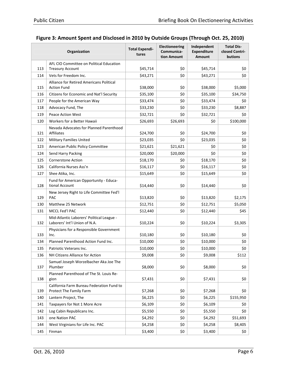|     | Organization                                                               | <b>Total Expendi-</b><br>tures | <b>Electioneering</b><br>Communica-<br>tion Amount | Independent<br><b>Expenditure</b><br>Amount | <b>Total Dis-</b><br>closed Contri-<br>butions |
|-----|----------------------------------------------------------------------------|--------------------------------|----------------------------------------------------|---------------------------------------------|------------------------------------------------|
|     | AFL CIO Committee on Political Education                                   |                                |                                                    |                                             |                                                |
| 113 | <b>Treasury Account</b>                                                    | \$45,714                       | \$0                                                | \$45,714                                    | \$0                                            |
| 114 | Vets for Freedom Inc.                                                      | \$43,271                       | \$0                                                | \$43,271                                    | \$0                                            |
| 115 | Alliance for Retired Americans Political<br><b>Action Fund</b>             | \$38,000                       | \$0                                                | \$38,000                                    | \$5,000                                        |
| 116 | Citizens for Economic and Nat'l Security                                   |                                | \$0                                                |                                             |                                                |
| 117 | People for the American Way                                                | \$35,100<br>\$33,474           | \$0                                                | \$35,100<br>\$33,474                        | \$34,750<br>\$0                                |
| 118 | Advocacy Fund, The                                                         | \$33,230                       | \$0                                                | \$33,230                                    | \$8,887                                        |
| 119 | <b>Peace Action West</b>                                                   | \$32,721                       | \$0                                                | \$32,721                                    | \$0                                            |
| 120 | Workers for a Better Hawaii                                                | \$26,693                       | \$26,693                                           | \$0                                         | \$100,000                                      |
|     | Nevada Advocates for Planned Parenthood                                    |                                |                                                    |                                             |                                                |
| 121 | Affiliates                                                                 | \$24,700                       | \$0                                                | \$24,700                                    | \$0                                            |
| 122 | <b>Military Families United</b>                                            | \$23,035                       | \$0                                                | \$23,035                                    | \$0                                            |
| 123 | American Public Policy Committee                                           | \$21,621                       | \$21,621                                           | \$0                                         | \$0                                            |
| 124 | Send Harry Packing                                                         | \$20,000                       | \$20,000                                           | \$0                                         | \$0                                            |
| 125 | <b>Cornerstone Action</b>                                                  | \$18,170                       | \$0                                                | \$18,170                                    | \$0                                            |
| 126 | California Nurses Ass'n                                                    | \$16,117                       | \$0                                                | \$16,117                                    | \$0                                            |
| 127 | Shee Atika, Inc.                                                           | \$15,649                       | \$0                                                | \$15,649                                    | \$0                                            |
| 128 | Fund for American Opportunity - Educa-<br>tional Account                   | \$14,440                       | \$0                                                | \$14,440                                    | \$0                                            |
| 129 | New Jersey Right to Life Committee Fed'l<br><b>PAC</b>                     | \$13,820                       | \$0                                                | \$13,820                                    | \$2,175                                        |
| 130 | Matthew 25 Network                                                         | \$12,751                       | \$0                                                | \$12,751                                    | \$5,050                                        |
| 131 | MCCL Fed'l PAC                                                             | \$12,440                       | \$0                                                | \$12,440                                    | \$45                                           |
| 132 | Mid-Atlantic Laborers' Political League -<br>Laborers' Int'l Union of N.A. | \$10,224                       | \$0                                                | \$10,224                                    | \$3,305                                        |
| 133 | Physicians for a Responsible Government<br>Inc.                            | \$10,180                       | \$0                                                | \$10,180                                    | \$0                                            |
| 134 | Planned Parenthood Action Fund Inc.                                        | \$10,000                       | \$0                                                | \$10,000                                    | \$0                                            |
| 135 | Patriotic Veterans Inc.                                                    | \$10,000                       | \$0                                                | \$10,000                                    | \$0                                            |
| 136 | NH Citizens Alliance for Action                                            | \$9,008                        | \$0                                                | \$9,008                                     | \$112                                          |
| 137 | Samuel Joseph Worzelbacher Aka Joe The<br>Plumber                          | \$8,000                        | \$0                                                | \$8,000                                     | \$0                                            |
| 138 | Planned Parenthood of The St. Louis Re-<br>gion                            | \$7,431                        | \$0                                                | \$7,431                                     | \$0                                            |
| 139 | California Farm Bureau Federation Fund to<br>Protect The Family Farm       | \$7,268                        | \$0                                                | \$7,268                                     | \$0                                            |
| 140 | Lantern Project, The                                                       | \$6,225                        | \$0                                                | \$6,225                                     | \$155,950                                      |
| 141 | Taxpayers for Not 1 More Acre                                              | \$6,109                        | \$0                                                | \$6,109                                     | \$0                                            |
| 142 | Log Cabin Republicans Inc.                                                 | \$5,550                        | \$0                                                | \$5,550                                     | \$0                                            |
| 143 | one Nation PAC                                                             | \$4,292                        | \$0                                                | \$4,292                                     | \$51,693                                       |
| 144 | West Virginians for Life Inc. PAC                                          | \$4,258                        | \$0                                                | \$4,258                                     | \$8,405                                        |
| 145 | Finman                                                                     | \$3,400                        | \$0                                                | \$3,400                                     | \$0                                            |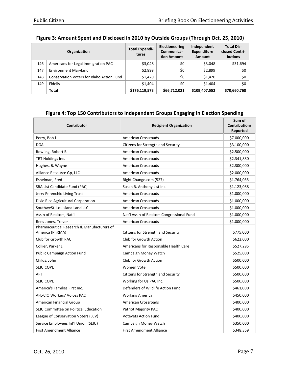|     | Organization                              | <b>Total Expendi-</b><br>tures | <b>Electioneering</b><br>Communica-<br>tion Amount | Independent<br><b>Expenditure</b><br><b>Amount</b> | <b>Total Dis-</b><br>closed Contri-<br><b>butions</b> |
|-----|-------------------------------------------|--------------------------------|----------------------------------------------------|----------------------------------------------------|-------------------------------------------------------|
| 146 | Americans for Legal Immigration PAC       | \$3,048                        | \$0                                                | \$3,048                                            | \$31,694                                              |
| 147 | <b>Environment Maryland</b>               | \$2,899                        | \$0                                                | \$2,899                                            | \$0                                                   |
| 148 | Conservation Voters for Idaho Action Fund | \$1,420                        | \$0                                                | \$1,420                                            | \$0                                                   |
| 149 | <b>Fidelis</b>                            | \$1,404                        | \$0                                                | \$1,404                                            | \$0                                                   |
|     | Total                                     | \$176,119,573                  | \$66,712,021                                       | \$109,407,552                                      | \$70,660,768                                          |

| <b>Contributor</b>                                            | <b>Recipient Organization</b>              | Sum of<br><b>Contributions</b><br>Reported |
|---------------------------------------------------------------|--------------------------------------------|--------------------------------------------|
| Perry, Bob J.                                                 | <b>American Crossroads</b>                 | \$7,000,000                                |
| <b>DGA</b>                                                    | Citizens for Strength and Security         | \$3,100,000                                |
| Rowling, Robert B.                                            | <b>American Crossroads</b>                 | \$2,500,000                                |
| TRT Holdings Inc.                                             | <b>American Crossroads</b>                 | \$2,341,880                                |
| Hughes, B. Wayne                                              | <b>American Crossroads</b>                 | \$2,300,000                                |
| Alliance Resource Gp, LLC                                     | <b>American Crossroads</b>                 | \$2,000,000                                |
| Eshelman, Fred                                                | Right Change.com (527)                     | \$1,764,055                                |
| SBA List Candidate Fund (PAC)                                 | Susan B. Anthony List Inc.                 | \$1,123,088                                |
| Jerry Perenchio Living Trust                                  | <b>American Crossroads</b>                 | \$1,000,000                                |
| Dixie Rice Agricultural Corporation                           | <b>American Crossroads</b>                 | \$1,000,000                                |
| SouthweSt. Louisiana Land LLC                                 | <b>American Crossroads</b>                 | \$1,000,000                                |
| Ass'n of Realtors, Nat'l                                      | Nat'l Ass'n of Realtors Congressional Fund | \$1,000,000                                |
| Rees-Jones, Trevor                                            | <b>American Crossroads</b>                 | \$1,000,000                                |
| Pharmaceutical Research & Manufacturers of<br>America (PhRMA) | Citizens for Strength and Security         | \$775,000                                  |
| Club for Growth PAC                                           | Club for Growth Action                     | \$622,000                                  |
| Collier, Parker J.                                            | Americans for Responsible Health Care      | \$527,295                                  |
| Public Campaign Action Fund                                   | Campaign Money Watch                       | \$525,000                                  |
| Childs, John                                                  | Club for Growth Action                     | \$500,000                                  |
| <b>SEIU COPE</b>                                              | <b>Women Vote</b>                          | \$500,000                                  |
| AFT                                                           | Citizens for Strength and Security         | \$500,000                                  |
| SEIU COPE                                                     | Working for Us PAC Inc.                    | \$500,000                                  |
| America's Families First Inc.                                 | Defenders of Wildlife Action Fund          | \$461,000                                  |
| AFL-CIO Workers' Voices PAC                                   | <b>Working America</b>                     | \$450,000                                  |
| American Financial Group                                      | <b>American Crossroads</b>                 | \$400,000                                  |
| SEIU Committee on Political Education                         | Patriot Majority PAC                       | \$400,000                                  |
| League of Conservation Voters (LCV)                           | <b>Votevets Action Fund</b>                | \$400,000                                  |
| Service Employees Int'l Union (SEIU)                          | Campaign Money Watch                       | \$350,000                                  |
| <b>First Amendment Alliance</b>                               | <b>First Amendment Alliance</b>            | \$348,369                                  |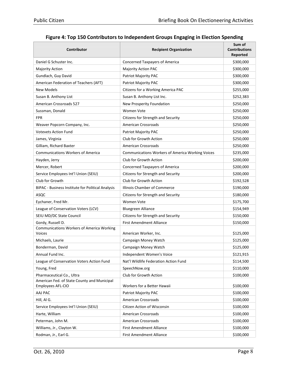| Contributor                                                       | <b>Recipient Organization</b>                           | Sum of<br><b>Contributions</b><br>Reported |
|-------------------------------------------------------------------|---------------------------------------------------------|--------------------------------------------|
| Daniel G Schuster Inc.                                            | Concerned Taxpayers of America                          | \$300,000                                  |
| Majority Action                                                   | <b>Majority Action PAC</b>                              | \$300,000                                  |
| Gundlach, Guy David                                               | Patriot Majority PAC                                    | \$300,000                                  |
| American Federation of Teachers (AFT)                             | Patriot Majority PAC                                    | \$300,000                                  |
| New Models                                                        | Citizens for a Working America PAC                      | \$255,000                                  |
| Susan B. Anthony List                                             | Susan B. Anthony List Inc.                              | \$252,383                                  |
| <b>American Crossroads 527</b>                                    | New Prosperity Foundation                               | \$250,000                                  |
| Sussman, Donald                                                   | Women Vote                                              | \$250,000                                  |
| <b>FPR</b>                                                        | Citizens for Strength and Security                      | \$250,000                                  |
| Weaver Popcorn Company, Inc.                                      | <b>American Crossroads</b>                              | \$250,000                                  |
| <b>Votevets Action Fund</b>                                       | Patriot Majority PAC                                    | \$250,000                                  |
| James, Virginia                                                   | Club for Growth Action                                  | \$250,000                                  |
| Gilliam, Richard Baxter                                           | <b>American Crossroads</b>                              | \$250,000                                  |
| <b>Communications Workers of America</b>                          | <b>Communications Workers of America Working Voices</b> | \$235,000                                  |
| Hayden, Jerry                                                     | Club for Growth Action                                  | \$200,000                                  |
| Mercer, Robert                                                    | <b>Concerned Taxpayers of America</b>                   | \$200,000                                  |
| Service Employees Int'l Union (SEIU)                              | Citizens for Strength and Security                      | \$200,000                                  |
| Club for Growth                                                   | Club for Growth Action                                  | \$192,528                                  |
| BIPAC - Business Institute for Political Analysis                 | Illinois Chamber of Commerce                            | \$190,000                                  |
| ASQC                                                              | Citizens for Strength and Security                      | \$180,000                                  |
| Eychaner, Fred Mr.                                                | Women Vote                                              | \$175,700                                  |
| League of Conservation Voters (LCV)                               | <b>Bluegreen Alliance</b>                               | \$154,949                                  |
| SEIU MD/DC State Council                                          | Citizens for Strength and Security                      | \$150,000                                  |
| Gordy, Russell D.                                                 | <b>First Amendment Alliance</b>                         | \$150,000                                  |
| <b>Communications Workers of America Working</b><br><b>Voices</b> | American Worker, Inc.                                   | \$125,000                                  |
| Michaels, Laurie                                                  | Campaign Money Watch                                    | \$125,000                                  |
| Bonderman, David                                                  | Campaign Money Watch                                    | \$125,000                                  |
| Annual Fund Inc.                                                  | Independent Women's Voice                               | \$121,915                                  |
| League of Conservation Voters Action Fund                         | Nat'l Wildlife Federation Action Fund                   | \$114,500                                  |
| Young, Fred                                                       | SpeechNow.org                                           | \$110,000                                  |
| Pharmaceutical Co., Ultra                                         | Club for Growth Action                                  | \$100,000                                  |
| American Fed. of State County and Municipal<br>Employees AFL-CIO  | Workers for a Better Hawaii                             | \$100,000                                  |
| AAJ PAC                                                           | Patriot Majority PAC                                    | \$100,000                                  |
| Hill, Al G.                                                       | <b>American Crossroads</b>                              | \$100,000                                  |
| Service Employees Int'l Union (SEIU)                              | Citizen Action of Wisconsin                             | \$100,000                                  |
| Harte, William                                                    | American Crossroads                                     | \$100,000                                  |
| Peterman, John M.                                                 | American Crossroads                                     | \$100,000                                  |
| Williams, Jr., Clayton W.                                         | First Amendment Alliance                                | \$100,000                                  |
| Rodman, Jr., Earl G.                                              | First Amendment Alliance                                | \$100,000                                  |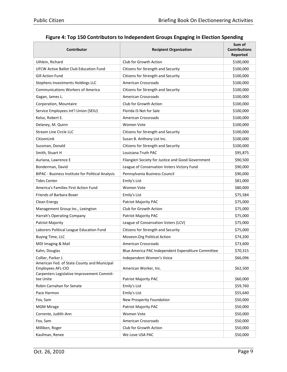| Contributor                                                      | <b>Recipient Organization</b>                      | Sum of<br><b>Contributions</b><br>Reported |
|------------------------------------------------------------------|----------------------------------------------------|--------------------------------------------|
| Uihlein, Richard                                                 | Club for Growth Action                             | \$100,000                                  |
| <b>UFCW Active Ballot Club Education Fund</b>                    | Citizens for Strength and Security                 | \$100,000                                  |
| <b>Gill Action Fund</b>                                          | Citizens for Strength and Security                 | \$100,000                                  |
| Stephens Investments Holdings LLC                                | <b>American Crossroads</b>                         | \$100,000                                  |
| <b>Communications Workers of America</b>                         | Citizens for Strength and Security                 | \$100,000                                  |
| Gagan, James L.                                                  | <b>American Crossroads</b>                         | \$100,000                                  |
| Corporation, Mountaire                                           | Club for Growth Action                             | \$100,000                                  |
| Service Employees Int'l Union (SEIU)                             | Florida IS Not for Sale                            | \$100,000                                  |
| Kelso, Robert E.                                                 | <b>American Crossroads</b>                         | \$100,000                                  |
| Delaney, M. Quinn                                                | Women Vote                                         | \$100,000                                  |
| <b>Stream Line Circle LLC</b>                                    | Citizens for Strength and Security                 | \$100,000                                  |
| CitizenLink                                                      | Susan B. Anthony List Inc.                         | \$100,000                                  |
| Sussman, Donald                                                  | Citizens for Strength and Security                 | \$100,000                                  |
| Smith, Stuart H                                                  | Louisiana Truth PAC                                | \$95,875                                   |
| Auriana, Lawrence E                                              | Filangieri Society for Justice and Good Government | \$90,500                                   |
| Bonderman, David                                                 | League of Conservation Voters Victory Fund         | \$90,000                                   |
| BIPAC - Business Institute for Political Analysis                | Pennsylvania Business Council                      | \$90,000                                   |
| Tides Center                                                     | Emily's List                                       | \$81,000                                   |
| America's Families First Action Fund                             | Women Vote                                         | \$80,000                                   |
| Friends of Barbara Boxer                                         | Emily's List                                       | \$75,584                                   |
| Clean Energy                                                     | Patriot Majority PAC                               | \$75,000                                   |
| Management Group Inc., Lexington                                 | Club for Growth Action                             | \$75,000                                   |
| Harrah's Operating Company                                       | Patriot Majority PAC                               | \$75,000                                   |
| Patriot Majority                                                 | League of Conservation Voters (LCV)                | \$75,000                                   |
| Laborers Political League Education Fund                         | Citizens for Strength and Security                 | \$75,000                                   |
| Buying Time, LLC                                                 | Moveon.Org Political Action                        | \$74,200                                   |
| MDI Imaging & Mail                                               | <b>American Crossroads</b>                         | \$73,600                                   |
| Kahn, Douglas                                                    | Blue America PAC Independent Expenditure Committee | \$70,315                                   |
| Collier, Parker J.                                               | Independent Women's Voice                          | \$66,096                                   |
| American Fed. of State County and Municipal<br>Employees AFL-CIO | American Worker, Inc.                              | \$62,500                                   |
| Carpenters Legislative Improvement Commit-<br>tee Unite          | Patriot Majority PAC                               |                                            |
| Robin Carnahan for Senate                                        | Emily's List                                       | \$60,000                                   |
| Pace Harmon                                                      |                                                    | \$59,760                                   |
| Fox, Sam                                                         | Emily's List<br>New Prosperity Foundation          | \$55,640<br>\$50,000                       |
| <b>MGM Mirage</b>                                                |                                                    |                                            |
|                                                                  | Patriot Majority PAC                               | \$50,000                                   |
| Corrente, Judith-Ann                                             | Women Vote                                         | \$50,000                                   |
| Fox, Sam                                                         | <b>American Crossroads</b>                         | \$50,000                                   |
| Milliken, Roger                                                  | Club for Growth Action                             | \$50,000                                   |
| Kaufman, Renee                                                   | We Love USA PAC                                    | \$50,000                                   |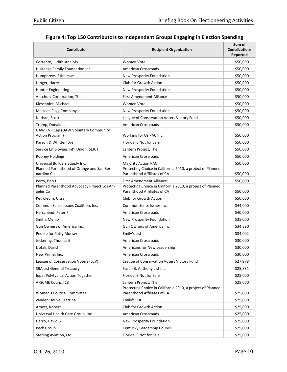| Contributor                                                  | <b>Recipient Organization</b>                                                             | Sum of<br><b>Contributions</b><br>Reported |
|--------------------------------------------------------------|-------------------------------------------------------------------------------------------|--------------------------------------------|
| Corrente, Judith-Ann Ms.                                     | Women Vote                                                                                | \$50,000                                   |
| Huizenga Family Foundation Inc.                              | American Crossroads                                                                       | \$50,000                                   |
| Humphreys, Ethelmae                                          | New Prosperity Foundation                                                                 | \$50,000                                   |
| Langer, Harry                                                | Club for Growth Action                                                                    | \$50,000                                   |
| <b>Hunter Engineering</b>                                    | New Prosperity Foundation                                                                 | \$50,000                                   |
| Anschutz Corporation, The                                    | <b>First Amendment Alliance</b>                                                           | \$50,000                                   |
| Kieschnick, Michael                                          | Women Vote                                                                                | \$50,000                                   |
| Maclean Fogg Company                                         | New Prosperity Foundation                                                                 | \$50,000                                   |
| Nathan, Scott                                                | League of Conservation Voters Victory Fund                                                | \$50,000                                   |
| Trump, Donald J.                                             | <b>American Crossroads</b>                                                                | \$50,000                                   |
| UAW - V - Cap (UAW Voluntary Community<br>Action Program)    | Working for Us PAC Inc.                                                                   | \$50,000                                   |
| Parson & Whittemore                                          | Florida IS Not for Sale                                                                   | \$50,000                                   |
| Service Employees Int'l Union (SEIU)                         | Lantern Project, The                                                                      | \$50,000                                   |
| Rooney Holdings                                              | <b>American Crossroads</b>                                                                | \$50,000                                   |
| Universal Builders Supply Inc.                               | <b>Majority Action PAC</b>                                                                | \$50,000                                   |
| Planned Parenthood of Orange and San Ber-                    | Protecting Choice in California 2010, a project of Planned                                |                                            |
| nardino Co                                                   | Parenthood Affiliates of CA                                                               | \$50,000                                   |
| Perry, Bob J.<br>Planned Parenthood Advocacy Project Los An- | First Amendment Alliance<br>Protecting Choice in California 2010, a project of Planned    | \$50,000                                   |
| geles Co                                                     | Parenthood Affiliates of CA                                                               | \$50,000                                   |
| Petroleum, Ultra                                             | Club for Growth Action                                                                    | \$50,000                                   |
| Common Sense Issues Coalition, Inc.                          | Common Sense Issues Inc.                                                                  | \$44,000                                   |
| Herschend, Peter F.                                          | <b>American Crossroads</b>                                                                | \$40,000                                   |
| Smith, Menlo                                                 | New Prosperity Foundation                                                                 | \$35,000                                   |
| Gun Owners of America Inc.                                   | Gun Owners of America Inc.                                                                | \$34,390                                   |
| People for Patty Murray                                      | Emily's List                                                                              | \$34,002                                   |
| Jeckering, Thomas E.                                         | <b>American Crossroads</b>                                                                | \$30,000                                   |
| Liptak, David                                                | Americans for New Leadership                                                              | \$30,000                                   |
| New Prime, Inc.                                              | American Crossroads                                                                       | \$30,000                                   |
| League of Conservation Voters (LCV)                          | League of Conservation Voters Victory Fund                                                | \$27,978                                   |
| <b>SBA List General Treasury</b>                             | Susan B. Anthony List Inc.                                                                | \$25,831                                   |
| <b>lupat Polytypical Action Together</b>                     | Florida IS Not for Sale                                                                   | \$25,000                                   |
| AFSCME Council 13                                            | Lantern Project, The                                                                      | \$25,000                                   |
| <b>Women's Political Committee</b>                           | Protecting Choice in California 2010, a project of Planned<br>Parenthood Affiliates of CA | \$25,000                                   |
| vanden Heuvel, Katrina                                       | Emily's List                                                                              | \$25,000                                   |
| Arnott, Robert                                               | Club for Growth Action                                                                    | \$25,000                                   |
| Universal Health Care Group, Inc.                            | <b>American Crossroads</b>                                                                | \$25,000                                   |
| Herro, David G                                               | New Prosperity Foundation                                                                 | \$25,000                                   |
| <b>Beck Group</b>                                            | Kentucky Leadership Council                                                               | \$25,000                                   |
| Sterling Aviation, Ltd                                       | Florida IS Not for Sale                                                                   | \$25,000                                   |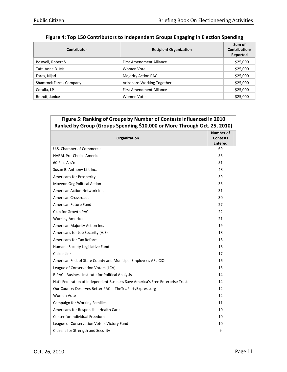| Contributor                   | <b>Recipient Organization</b>   | Sum of<br><b>Contributions</b><br>Reported |
|-------------------------------|---------------------------------|--------------------------------------------|
| Boswell, Robert S.            | <b>First Amendment Alliance</b> | \$25,000                                   |
| Taft, Anne D. Ms.             | Women Vote                      | \$25,000                                   |
| Fares, Nijad                  | Majority Action PAC             | \$25,000                                   |
| <b>Shamrock Farms Company</b> | Arizonans Working Together      | \$25,000                                   |
| Cotulla, LP                   | <b>First Amendment Alliance</b> | \$25,000                                   |
| Brandt, Janice                | Women Vote                      | \$25,000                                   |

| Figure 5: Ranking of Groups by Number of Contests Influenced in 2010<br>Ranked by Group (Groups Spending \$10,000 or More Through Oct. 25, 2010) |                                                |  |
|--------------------------------------------------------------------------------------------------------------------------------------------------|------------------------------------------------|--|
| Organization                                                                                                                                     | Number of<br><b>Contests</b><br><b>Entered</b> |  |
| U.S. Chamber of Commerce                                                                                                                         | 69                                             |  |
| NARAL Pro-Choice America                                                                                                                         | 55                                             |  |
| 60 Plus Ass'n                                                                                                                                    | 51                                             |  |
| Susan B. Anthony List Inc.                                                                                                                       | 48                                             |  |
| Americans for Prosperity                                                                                                                         | 39                                             |  |
| Moveon.Org Political Action                                                                                                                      | 35                                             |  |
| American Action Network Inc.                                                                                                                     | 31                                             |  |
| <b>American Crossroads</b>                                                                                                                       | 30                                             |  |
| American Future Fund                                                                                                                             | 27                                             |  |
| Club for Growth PAC                                                                                                                              | 22                                             |  |
| <b>Working America</b>                                                                                                                           | 21                                             |  |
| American Majority Action Inc.                                                                                                                    | 19                                             |  |
| Americans for Job Security (AJS)                                                                                                                 | 18                                             |  |
| Americans for Tax Reform                                                                                                                         | 18                                             |  |
| Humane Society Legislative Fund                                                                                                                  | 18                                             |  |
| CitizenLink                                                                                                                                      | 17                                             |  |
| American Fed. of State County and Municipal Employees AFL-CIO                                                                                    | 16                                             |  |
| League of Conservation Voters (LCV)                                                                                                              | 15                                             |  |
| <b>BIPAC - Business Institute for Political Analysis</b>                                                                                         | 14                                             |  |
| Nat'l Federation of Independent Business Save America's Free Enterprise Trust                                                                    | 14                                             |  |
| Our Country Deserves Better PAC -- The Tea Party Express.org                                                                                     | 12                                             |  |
| Women Vote                                                                                                                                       | 12                                             |  |
| Campaign for Working Families                                                                                                                    | 11                                             |  |
| Americans for Responsible Health Care                                                                                                            | 10                                             |  |
| Center for Individual Freedom                                                                                                                    | 10                                             |  |
| League of Conservation Voters Victory Fund                                                                                                       | 10                                             |  |
| Citizens for Strength and Security                                                                                                               | 9                                              |  |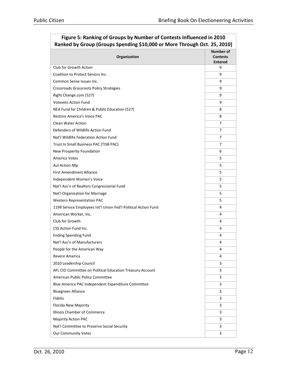| <u>Naliked by Group (Groups Speriumig 310,000 or more Through Oct. 25, 2010)</u> |                                                |
|----------------------------------------------------------------------------------|------------------------------------------------|
| Organization                                                                     | Number of<br><b>Contests</b><br><b>Entered</b> |
| Club for Growth Action                                                           | 9                                              |
| Coalition to Protect Seniors Inc.                                                | 9                                              |
| Common Sense Issues Inc.                                                         | 9                                              |
| Crossroads Grassroots Policy Strategies                                          | 9                                              |
| Right Change.com (527)                                                           | 9                                              |
| <b>Votevets Action Fund</b>                                                      | 9                                              |
| NEA Fund for Children & Public Education (527)                                   | 8                                              |
| Restore America's Voice PAC                                                      | 8                                              |
| <b>Clean Water Action</b>                                                        | 7                                              |
| Defenders of Wildlife Action Fund                                                | 7                                              |
| Nat'l Wildlife Federation Action Fund                                            | 7                                              |
| Trust In Small Business PAC (TISB PAC)                                           | 7                                              |
| New Prosperity Foundation                                                        | 6                                              |
| America Votes                                                                    | 5                                              |
| Aul Action Nfp                                                                   | 5                                              |
| <b>First Amendment Alliance</b>                                                  | 5                                              |
| Independent Women's Voice                                                        | 5                                              |
| Nat'l Ass'n of Realtors Congressional Fund                                       | 5                                              |
| Nat'l Organization for Marriage                                                  | 5                                              |
| <b>Western Representation PAC</b>                                                | 5                                              |
| 1199 Service Employees Int'l Union Fed'l Political Action Fund                   | 4                                              |
| American Worker, Inc.                                                            | 4                                              |
| Club for Growth                                                                  | 4                                              |
| CSS Action Fund Inc.                                                             | 4                                              |
| <b>Ending Spending Fund</b>                                                      | 4                                              |
| Nat'l Ass'n of Manufacturers                                                     | 4                                              |
| People for the American Way                                                      | 4                                              |
| Revere America                                                                   | 4                                              |
| 2010 Leadership Council                                                          | 3                                              |
| AFL CIO Committee on Political Education Treasury Account                        | 3                                              |
| American Public Policy Committee                                                 | 3                                              |
| Blue America PAC Independent Expenditure Committee                               | 3                                              |
| <b>Bluegreen Alliance</b>                                                        | 3                                              |
| <b>Fidelis</b>                                                                   | 3                                              |
| Florida New Majority                                                             | 3                                              |
| Illinois Chamber of Commerce                                                     | 3                                              |
| <b>Majority Action PAC</b>                                                       | 3                                              |
| Nat'l Committee to Preserve Social Security                                      | 3                                              |
| Our Community Votes                                                              | 3                                              |

#### Figure 5: Ranking of Groups by Number of Contests Influenced in 2010 Ranked by Group (Groups Spending \$10,000 or More Through Oct. 25, 2010)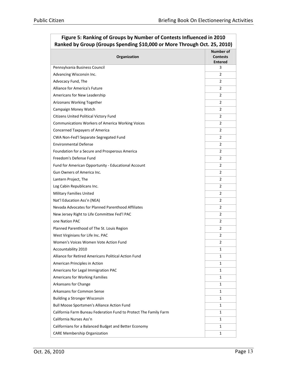| Kanked by Group (Groups Spending \$10,000 or More Through Oct. 25, 2010) |                                                       |  |  |
|--------------------------------------------------------------------------|-------------------------------------------------------|--|--|
| Organization                                                             | <b>Number of</b><br><b>Contests</b><br><b>Entered</b> |  |  |
| Pennsylvania Business Council                                            | 3                                                     |  |  |
| Advancing Wisconsin Inc.                                                 | $\overline{2}$                                        |  |  |
| Advocacy Fund, The                                                       | 2                                                     |  |  |
| Alliance for America's Future                                            | $\overline{2}$                                        |  |  |
| Americans for New Leadership                                             | 2                                                     |  |  |
| Arizonans Working Together                                               | $\overline{2}$                                        |  |  |
| Campaign Money Watch                                                     | 2                                                     |  |  |
| Citizens United Political Victory Fund                                   | $\overline{2}$                                        |  |  |
| <b>Communications Workers of America Working Voices</b>                  | 2                                                     |  |  |
| <b>Concerned Taxpayers of America</b>                                    | $\overline{2}$                                        |  |  |
| CWA Non-Fed'l Separate Segregated Fund                                   | $\overline{2}$                                        |  |  |
| <b>Environmental Defense</b>                                             | $\overline{2}$                                        |  |  |
| Foundation for a Secure and Prosperous America                           | $\overline{2}$                                        |  |  |
| Freedom's Defense Fund                                                   | $\overline{2}$                                        |  |  |
| Fund for American Opportunity - Educational Account                      | $\overline{2}$                                        |  |  |
| Gun Owners of America Inc.                                               | 2                                                     |  |  |
| Lantern Project, The                                                     | 2                                                     |  |  |
| Log Cabin Republicans Inc.                                               | 2                                                     |  |  |
| <b>Military Families United</b>                                          | $\overline{2}$                                        |  |  |
| Nat'l Education Ass'n (NEA)                                              | $\overline{2}$                                        |  |  |
| Nevada Advocates for Planned Parenthood Affiliates                       | $\overline{2}$                                        |  |  |
| New Jersey Right to Life Committee Fed'l PAC                             | $\overline{2}$                                        |  |  |
| one Nation PAC                                                           | $\overline{2}$                                        |  |  |
| Planned Parenthood of The St. Louis Region                               | $\overline{2}$                                        |  |  |
| West Virginians for Life Inc. PAC                                        | $\overline{2}$                                        |  |  |
| Women's Voices Women Vote Action Fund                                    | $\overline{2}$                                        |  |  |
| Accountability 2010                                                      | 1                                                     |  |  |
| Alliance for Retired Americans Political Action Fund                     | 1                                                     |  |  |
| American Principles in Action                                            | $\mathbf{1}$                                          |  |  |
| Americans for Legal Immigration PAC                                      | 1                                                     |  |  |
| Americans for Working Families                                           | $\mathbf{1}$                                          |  |  |
| Arkansans for Change                                                     | 1                                                     |  |  |
| Arkansans for Common Sense                                               | $\mathbf{1}$                                          |  |  |
| <b>Building a Stronger Wisconsin</b>                                     | 1                                                     |  |  |
| Bull Moose Sportsmen's Alliance Action Fund                              | $\mathbf{1}$                                          |  |  |
| California Farm Bureau Federation Fund to Protect The Family Farm        | 1                                                     |  |  |
| California Nurses Ass'n                                                  | $\mathbf{1}$                                          |  |  |
| Californians for a Balanced Budget and Better Economy                    | 1                                                     |  |  |
| <b>CARE Membership Organization</b>                                      | 1                                                     |  |  |

#### Figure 5: Ranking of Groups by Number of Contests Influenced in 2010 Ranked by Group (Groups Spending \$10,000 or More Through Oct. 25, 2010)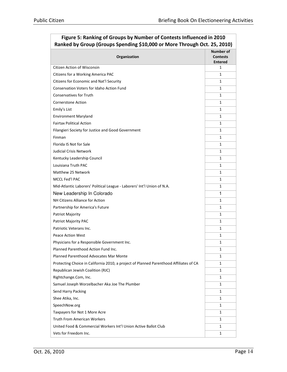| Kanked by Group (Groups Spending \$10,000 or More Through Oct. 25, 2010)               |                                                |  |
|----------------------------------------------------------------------------------------|------------------------------------------------|--|
| Organization                                                                           | Number of<br><b>Contests</b><br><b>Entered</b> |  |
| Citizen Action of Wisconsin                                                            | 1                                              |  |
| Citizens for a Working America PAC                                                     | $\mathbf{1}$                                   |  |
| Citizens for Economic and Nat'l Security                                               | 1                                              |  |
| Conservation Voters for Idaho Action Fund                                              | $\mathbf{1}$                                   |  |
| <b>Conservatives for Truth</b>                                                         | 1                                              |  |
| <b>Cornerstone Action</b>                                                              | $\mathbf{1}$                                   |  |
| Emily's List                                                                           | 1                                              |  |
| <b>Environment Maryland</b>                                                            | $\mathbf{1}$                                   |  |
| <b>Fairtax Political Action</b>                                                        | 1                                              |  |
| Filangieri Society for Justice and Good Government                                     | $\mathbf{1}$                                   |  |
| Finman                                                                                 | 1                                              |  |
| Florida IS Not for Sale                                                                | $\mathbf{1}$                                   |  |
| <b>Judicial Crisis Network</b>                                                         | 1                                              |  |
| Kentucky Leadership Council                                                            | 1                                              |  |
| Louisiana Truth PAC                                                                    | 1                                              |  |
| Matthew 25 Network                                                                     | 1                                              |  |
| MCCL Fed'l PAC                                                                         | $\mathbf{1}$                                   |  |
| Mid-Atlantic Laborers' Political League - Laborers' Int'l Union of N.A.                | $\mathbf{1}$                                   |  |
| New Leadership In Colorado                                                             | $\mathbf{1}$                                   |  |
| NH Citizens Alliance for Action                                                        | 1                                              |  |
| Partnership for America's Future                                                       | $\mathbf{1}$                                   |  |
| Patriot Majority                                                                       | 1                                              |  |
| Patriot Majority PAC                                                                   | $\mathbf{1}$                                   |  |
| Patriotic Veterans Inc.                                                                | 1                                              |  |
| <b>Peace Action West</b>                                                               | $\mathbf{1}$                                   |  |
| Physicians for a Responsible Government Inc.                                           | 1                                              |  |
| Planned Parenthood Action Fund Inc.                                                    | $\mathbf{1}$                                   |  |
| Planned Parenthood Advocates Mar Monte                                                 | 1                                              |  |
| Protecting Choice in California 2010, a project of Planned Parenthood Affiliates of CA | 1                                              |  |
| Republican Jewish Coalition (RJC)                                                      | 1                                              |  |
| Rightchange.Com, Inc.                                                                  | $\mathbf{1}$                                   |  |
| Samuel Joseph Worzelbacher Aka Joe The Plumber                                         | 1                                              |  |
| Send Harry Packing                                                                     | $\mathbf{1}$                                   |  |
| Shee Atika, Inc.                                                                       | 1                                              |  |
| SpeechNow.org                                                                          | $\mathbf{1}$                                   |  |
| Taxpayers for Not 1 More Acre                                                          | 1                                              |  |
| <b>Truth From American Workers</b>                                                     | $\mathbf{1}$                                   |  |
| United Food & Commercial Workers Int'l Union Active Ballot Club                        | 1                                              |  |
| Vets for Freedom Inc.                                                                  | $\mathbf{1}$                                   |  |

#### Figure 5: Ranking of Groups by Number of Contests Influenced in 2010 Ranked by Group (Groups Spending \$10,000 or More Through Oct. 25, 2010)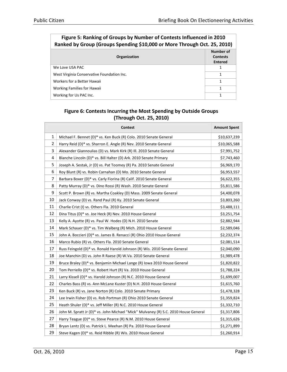| Ranked by Group (Groups Spending \$10,000 or More Through Oct. 25, 2010) |                                                       |  |
|--------------------------------------------------------------------------|-------------------------------------------------------|--|
| Organization                                                             | <b>Number of</b><br><b>Contests</b><br><b>Entered</b> |  |
| We Love USA PAC                                                          |                                                       |  |
| West Virginia Conservative Foundation Inc.                               |                                                       |  |
| Workers for a Better Hawaii                                              |                                                       |  |
| Working Families for Hawaii                                              |                                                       |  |
| Working for Us PAC Inc.                                                  |                                                       |  |

#### Figure 5: Ranking of Groups by Number of Contests Influenced in 2010<br>pkod by Group (Groups Sponding \$10,000 or More Through Oct. 25, 2010) Ranked by Group (Groups Spending \$10,000 or More Through Oct. 25, 2010)

#### Figure 6: Contests Incurring the Most Spending by Outside Groups (Through Oct. 25, 2010)

|    | <b>Contest</b>                                                                      | <b>Amount Spent</b> |
|----|-------------------------------------------------------------------------------------|---------------------|
| 1  | Michael F. Bennet (D)* vs. Ken Buck (R) Colo. 2010 Senate General                   | \$10,637,239        |
| 2  | Harry Reid (D)* vs. Sharron E. Angle (R) Nev. 2010 Senate General                   | \$10,065,588        |
| 3  | Alexander Giannoulias (D) vs. Mark Kirk (R) Ill. 2010 Senate General                | \$7,991,752         |
| 4  | Blanche Lincoln (D)* vs. Bill Halter (D) Ark. 2010 Senate Primary                   | \$7,743,460         |
| 5  | Joseph A. Sestak, Jr (D) vs. Pat Toomey (R) Pa. 2010 Senate General                 | \$6,969,170         |
| 6  | Roy Blunt (R) vs. Robin Carnahan (D) Mo. 2010 Senate General                        | \$6,953,557         |
| 7  | Barbara Boxer (D)* vs. Carly Fiorina (R) Calif. 2010 Senate General                 | \$6,622,355         |
| 8  | Patty Murray (D)* vs. Dino Rossi (R) Wash. 2010 Senate General                      | \$5,811,586         |
| 9  | Scott P. Brown (R) vs. Martha Coakley (D) Mass. 2009 Senate General                 | \$4,400,078         |
| 10 | Jack Conway (D) vs. Rand Paul (R) Ky. 2010 Senate General                           | \$3,803,260         |
| 11 | Charlie Crist (I) vs. Others Fla. 2010 General                                      | \$3,488,111         |
| 12 | Dina Titus (D)* vs. Joe Heck (R) Nev. 2010 House General                            | \$3,251,754         |
| 13 | Kelly A. Ayotte (R) vs. Paul W. Hodes (D) N.H. 2010 Senate                          | \$2,882,944         |
| 14 | Mark Schauer (D)* vs. Tim Walberg (R) Mich. 2010 House General                      | \$2,589,046         |
| 15 | John A. Boccieri (D)* vs. James B. Renacci (R) Ohio 2010 House General              | \$2,232,374         |
| 16 | Marco Rubio (R) vs. Others Fla. 2010 Senate General                                 | \$2,081,514         |
| 17 | Russ Feingold (D)* vs. Ronald Harold Johnson (R) Wis. 2010 Senate General           | \$2,040,090         |
| 18 | Joe Manchin (D) vs. John R Raese (R) W.Va. 2010 Senate General                      | \$1,989,478         |
| 19 | Bruce Braley (D)* vs. Benjamin Michael Lange (R) Iowa 2010 House General            | \$1,820,822         |
| 20 | Tom Perriello (D)* vs. Robert Hurt (R) Va. 2010 House General                       | \$1,788,224         |
| 21 | Larry Kissell (D)* vs. Harold Johnson (R) N.C. 2010 House General                   | \$1,699,007         |
| 22 | Charles Bass (R) vs. Ann McLane Kuster (D) N.H. 2010 House General                  | \$1,615,760         |
| 23 | Ken Buck (R) vs. Jane Norton (R) Colo. 2010 Senate Primary                          | \$1,478,328         |
| 24 | Lee Irwin Fisher (D) vs. Rob Portman (R) Ohio 2010 Senate General                   | \$1,359,824         |
| 25 | Heath Shuler (D)* vs. Jeff Miller (R) N.C. 2010 House General                       | \$1,332,710         |
| 26 | John M. Spratt Jr (D)* vs. John Michael "Mick" Mulvaney (R) S.C. 2010 House General | \$1,317,806         |
| 27 | Harry Teague (D)* vs. Steve Pearce (R) N.M. 2010 House General                      | \$1,315,626         |
| 28 | Bryan Lentz (D) vs. Patrick L. Meehan (R) Pa. 2010 House General                    | \$1,271,899         |
| 29 | Steve Kagen (D)* vs. Reid Ribble (R) Wis. 2010 House General                        | \$1,260,914         |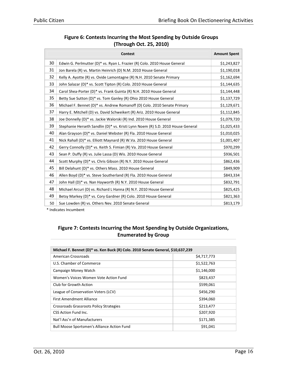| Figure 6: Contests Incurring the Most Spending by Outside Groups |
|------------------------------------------------------------------|
| (Through Oct. 25, 2010)                                          |

|    | <b>Contest</b>                                                                  | <b>Amount Spent</b> |
|----|---------------------------------------------------------------------------------|---------------------|
| 30 | Edwin G. Perlmutter (D)* vs. Ryan L. Frazier (R) Colo. 2010 House General       | \$1,243,827         |
| 31 | Jon Barela (R) vs. Martin Heinrich (D) N.M. 2010 House General                  | \$1,190,018         |
| 32 | Kelly A. Ayotte (R) vs. Ovide Lamontagne (R) N.H. 2010 Senate Primary           | \$1,162,694         |
| 33 | John Salazar (D)* vs. Scott Tipton (R) Colo. 2010 House General                 | \$1,144,635         |
| 34 | Carol Shea-Porter (D)* vs. Frank Guinta (R) N.H. 2010 House General             | \$1,144,448         |
| 35 | Betty Sue Sutton (D)* vs. Tom Ganley (R) Ohio 2010 House General                | \$1,137,729         |
| 36 | Michael F. Bennet (D)* vs. Andrew Romanoff (D) Colo. 2010 Senate Primary        | \$1,129,671         |
| 37 | Harry E. Mitchell (D) vs. David Schweikert (R) Ariz. 2010 House General         | \$1,112,845         |
| 38 | Joe Donnelly (D)* vs. Jackie Walorski (R) Ind. 2010 House General               | \$1,079,720         |
| 39 | Stephanie Herseth Sandlin (D)* vs. Kristi Lynn Noem (R) S.D. 2010 House General | \$1,025,433         |
| 40 | Alan Grayson (D)* vs. Daniel Webster (R) Fla. 2010 House General                | \$1,010,025         |
| 41 | Nick Rahall (D)* vs. Elliott Maynard (R) W.Va. 2010 House General               | \$1,001,407         |
| 42 | Gerry Connolly (D)* vs. Keith S. Fimian (R) Va. 2010 House General              | \$970,299           |
| 43 | Sean P. Duffy (R) vs. Julie Lassa (D) Wis. 2010 House General                   | \$936,501           |
| 44 | Scott Murphy (D)* vs. Chris Gibson (R) N.Y. 2010 House General                  | \$862,436           |
| 45 | Bill Delahunt (D)* vs. Others Mass. 2010 House General                          | \$849,909           |
| 46 | Allen Boyd (D)* vs. Steve Southerland (R) Fla. 2010 House General               | \$843,334           |
| 47 | John Hall (D)* vs. Nan Hayworth (R) N.Y. 2010 House General                     | \$832,791           |
| 48 | Michael Arcuri (D) vs. Richard L Hanna (R) N.Y. 2010 House General              | \$825,425           |
| 49 | Betsy Markey (D)* vs. Cory Gardner (R) Colo. 2010 House General                 | \$821,363           |
| 50 | Sue Lowden (R) vs. Others Nev. 2010 Senate General                              | \$813,179           |

\* Indicates Incumbent

| Michael F. Bennet (D)* vs. Ken Buck (R) Colo. 2010 Senate General, \$10,637,239 |             |  |  |
|---------------------------------------------------------------------------------|-------------|--|--|
| American Crossroads                                                             | \$4,717,773 |  |  |
| U.S. Chamber of Commerce                                                        | \$1,522,763 |  |  |
| Campaign Money Watch                                                            | \$1,146,000 |  |  |
| Women's Voices Women Vote Action Fund                                           | \$823,437   |  |  |
| Club for Growth Action                                                          | \$599,061   |  |  |
| League of Conservation Voters (LCV)                                             | \$456,290   |  |  |
| First Amendment Alliance                                                        | \$394,060   |  |  |
| Crossroads Grassroots Policy Strategies                                         | \$213,477   |  |  |
| CSS Action Fund Inc.                                                            | \$207,920   |  |  |
| Nat'l Ass'n of Manufacturers                                                    | \$171,385   |  |  |
| <b>Bull Moose Sportsmen's Alliance Action Fund</b>                              | \$91,041    |  |  |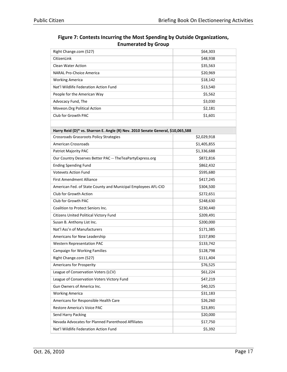| Right Change.com (527)                                                          | \$64,303    |
|---------------------------------------------------------------------------------|-------------|
| CitizenLink                                                                     | \$48,938    |
| <b>Clean Water Action</b>                                                       | \$35,563    |
| <b>NARAL Pro-Choice America</b>                                                 | \$20,969    |
| <b>Working America</b>                                                          | \$18,142    |
| Nat'l Wildlife Federation Action Fund                                           | \$13,540    |
| People for the American Way                                                     | \$5,562     |
| Advocacy Fund, The                                                              | \$3,030     |
| Moveon.Org Political Action                                                     | \$2,181     |
| Club for Growth PAC                                                             | \$1,601     |
|                                                                                 |             |
| Harry Reid (D)* vs. Sharron E. Angle (R) Nev. 2010 Senate General, \$10,065,588 |             |
| Crossroads Grassroots Policy Strategies                                         | \$2,029,918 |
| <b>American Crossroads</b>                                                      | \$1,405,855 |
| Patriot Majority PAC                                                            | \$1,336,688 |
| Our Country Deserves Better PAC -- The Tea Party Express.org                    | \$872,816   |
| <b>Ending Spending Fund</b>                                                     | \$862,432   |
| <b>Votevets Action Fund</b>                                                     | \$595,680   |
| First Amendment Alliance                                                        | \$417,245   |
| American Fed. of State County and Municipal Employees AFL-CIO                   | \$304,500   |
| Club for Growth Action                                                          | \$272,651   |
| Club for Growth PAC                                                             | \$248,630   |
| Coalition to Protect Seniors Inc.                                               | \$230,440   |
| Citizens United Political Victory Fund                                          | \$209,491   |
| Susan B. Anthony List Inc.                                                      | \$200,000   |
| Nat'l Ass'n of Manufacturers                                                    | \$171,385   |
| Americans for New Leadership                                                    | \$157,890   |
| <b>Western Representation PAC</b>                                               | \$133,742   |
| Campaign for Working Families                                                   | \$128,798   |
| Right Change.com (527)                                                          | \$111,404   |
| Americans for Prosperity                                                        | \$76,525    |
| League of Conservation Voters (LCV)                                             | \$61,224    |
| League of Conservation Voters Victory Fund                                      | \$47,219    |
| Gun Owners of America Inc.                                                      | \$40,325    |
| <b>Working America</b>                                                          | \$31,183    |
| Americans for Responsible Health Care                                           | \$26,260    |
| Restore America's Voice PAC                                                     | \$23,891    |
| Send Harry Packing                                                              | \$20,000    |
| Nevada Advocates for Planned Parenthood Affiliates                              | \$17,750    |
| Nat'l Wildlife Federation Action Fund                                           | \$5,392     |

Figure 7: Contests Incurring the Most Spending by Outside Organizations, Enumerated by Group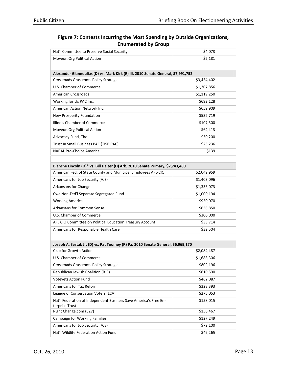| Figure 7: Contests Incurring the Most Spending by Outside Organizations, |  |
|--------------------------------------------------------------------------|--|
| <b>Enumerated by Group</b>                                               |  |

| Nat'l Committee to Preserve Social Security                                        | \$4,073     |
|------------------------------------------------------------------------------------|-------------|
| Moveon.Org Political Action                                                        | \$2,181     |
|                                                                                    |             |
| Alexander Giannoulias (D) vs. Mark Kirk (R) Ill. 2010 Senate General, \$7,991,752  |             |
| Crossroads Grassroots Policy Strategies                                            | \$3,454,402 |
| U.S. Chamber of Commerce                                                           | \$1,307,856 |
| <b>American Crossroads</b>                                                         | \$1,119,250 |
| Working for Us PAC Inc.                                                            | \$692,128   |
| American Action Network Inc.                                                       | \$659,909   |
| New Prosperity Foundation                                                          | \$532,719   |
| Illinois Chamber of Commerce                                                       | \$107,500   |
| Moveon.Org Political Action                                                        | \$64,413    |
| Advocacy Fund, The                                                                 | \$30,200    |
| Trust In Small Business PAC (TISB PAC)                                             | \$23,236    |
| <b>NARAL Pro-Choice America</b>                                                    | \$139       |
|                                                                                    |             |
| Blanche Lincoln (D)* vs. Bill Halter (D) Ark. 2010 Senate Primary, \$7,743,460     |             |
| American Fed. of State County and Municipal Employees AFL-CIO                      | \$2,049,959 |
| Americans for Job Security (AJS)                                                   | \$1,403,096 |
| Arkansans for Change                                                               | \$1,335,073 |
| Cwa Non-Fed'l Separate Segregated Fund                                             | \$1,000,194 |
| <b>Working America</b>                                                             | \$950,070   |
| <b>Arkansans for Common Sense</b>                                                  | \$638,850   |
| U.S. Chamber of Commerce                                                           | \$300,000   |
| AFL CIO Committee on Political Education Treasury Account                          | \$33,714    |
| Americans for Responsible Health Care                                              | \$32,504    |
|                                                                                    |             |
| Joseph A. Sestak Jr. (D) vs. Pat Toomey (R) Pa. 2010 Senate General, \$6,969,170   |             |
| Club for Growth Action                                                             | \$2,084,487 |
| U.S. Chamber of Commerce                                                           | \$1,688,306 |
| Crossroads Grassroots Policy Strategies                                            | \$809,196   |
| Republican Jewish Coalition (RJC)                                                  | \$610,590   |
| <b>Votevets Action Fund</b>                                                        | \$462,087   |
| Americans for Tax Reform                                                           | \$328,393   |
| League of Conservation Voters (LCV)                                                | \$275,053   |
| Nat'l Federation of Independent Business Save America's Free En-<br>terprise Trust | \$158,015   |
| Right Change.com (527)                                                             | \$156,467   |
| Campaign for Working Families                                                      | \$127,249   |
| Americans for Job Security (AJS)                                                   | \$72,100    |
| Nat'l Wildlife Federation Action Fund                                              | \$49,265    |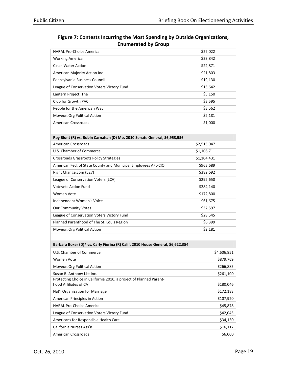| Figure 7: Contests Incurring the Most Spending by Outside Organizations, |  |
|--------------------------------------------------------------------------|--|
| <b>Enumerated by Group</b>                                               |  |

| <b>NARAL Pro-Choice America</b>                                                             | \$27,022    |
|---------------------------------------------------------------------------------------------|-------------|
| <b>Working America</b>                                                                      | \$23,842    |
| <b>Clean Water Action</b>                                                                   | \$22,871    |
| American Majority Action Inc.                                                               | \$21,803    |
| Pennsylvania Business Council                                                               | \$19,130    |
| League of Conservation Voters Victory Fund                                                  | \$13,642    |
| Lantern Project, The                                                                        | \$5,150     |
| Club for Growth PAC                                                                         | \$3,595     |
| People for the American Way                                                                 | \$3,562     |
| Moveon.Org Political Action                                                                 | \$2,181     |
| <b>American Crossroads</b>                                                                  | \$1,000     |
|                                                                                             |             |
| Roy Blunt (R) vs. Robin Carnahan (D) Mo. 2010 Senate General, \$6,953,556                   |             |
| <b>American Crossroads</b>                                                                  | \$2,515,047 |
| U.S. Chamber of Commerce                                                                    | \$1,106,711 |
| Crossroads Grassroots Policy Strategies                                                     | \$1,104,431 |
| American Fed. of State County and Municipal Employees AFL-CIO                               | \$963,689   |
| Right Change.com (527)                                                                      | \$382,692   |
| League of Conservation Voters (LCV)                                                         | \$292,650   |
| <b>Votevets Action Fund</b>                                                                 | \$284,140   |
| Women Vote                                                                                  | \$172,800   |
| Independent Women's Voice                                                                   | \$61,675    |
| <b>Our Community Votes</b>                                                                  | \$32,597    |
| League of Conservation Voters Victory Fund                                                  | \$28,545    |
| Planned Parenthood of The St. Louis Region                                                  | \$6,399     |
| Moveon.Org Political Action                                                                 | \$2,181     |
|                                                                                             |             |
| Barbara Boxer (D)* vs. Carly Fiorina (R) Calif. 2010 House General, \$6,622,354             |             |
| U.S. Chamber of Commerce                                                                    | \$4,606,851 |
| Women Vote                                                                                  | \$879,769   |
| Moveon.Org Political Action                                                                 | \$266,885   |
| Susan B. Anthony List Inc.                                                                  | \$261,100   |
| Protecting Choice in California 2010, a project of Planned Parent-<br>hood Affiliates of CA | \$180,046   |
| Nat'l Organization for Marriage                                                             | \$172,188   |
| American Principles in Action                                                               | \$107,920   |
| <b>NARAL Pro-Choice America</b>                                                             | \$45,878    |
| League of Conservation Voters Victory Fund                                                  | \$42,045    |
| Americans for Responsible Health Care                                                       | \$34,130    |
| California Nurses Ass'n                                                                     | \$16,117    |
| <b>American Crossroads</b>                                                                  | \$6,000     |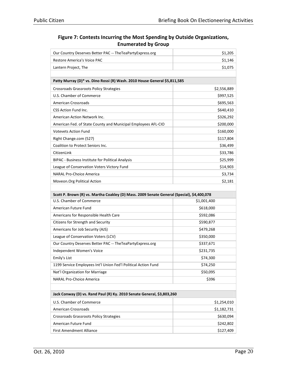| Figure 7: Contests Incurring the Most Spending by Outside Organizations, |
|--------------------------------------------------------------------------|
| <b>Enumerated by Group</b>                                               |

| Our Country Deserves Better PAC -- The Tea Party Express.org                               | \$1,205     |
|--------------------------------------------------------------------------------------------|-------------|
| Restore America's Voice PAC                                                                | \$1,146     |
| Lantern Project, The                                                                       | \$1,075     |
|                                                                                            |             |
| Patty Murray (D)* vs. Dino Rossi (R) Wash. 2010 House General \$5,811,585                  |             |
| Crossroads Grassroots Policy Strategies                                                    | \$2,556,889 |
| U.S. Chamber of Commerce                                                                   | \$997,525   |
| <b>American Crossroads</b>                                                                 | \$695,563   |
| CSS Action Fund Inc.                                                                       | \$640,410   |
| American Action Network Inc.                                                               | \$326,292   |
| American Fed. of State County and Municipal Employees AFL-CIO                              | \$200,000   |
| <b>Votevets Action Fund</b>                                                                | \$160,000   |
| Right Change.com (527)                                                                     | \$117,804   |
| Coalition to Protect Seniors Inc.                                                          | \$36,499    |
| CitizenLink                                                                                | \$33,786    |
| <b>BIPAC - Business Institute for Political Analysis</b>                                   | \$25,999    |
| League of Conservation Voters Victory Fund                                                 | \$14,903    |
| <b>NARAL Pro-Choice America</b>                                                            | \$3,734     |
| Moveon.Org Political Action                                                                | \$2,181     |
|                                                                                            |             |
| Scott P. Brown (R) vs. Martha Coakley (D) Mass. 2009 Senate General (Special), \$4,400,078 |             |
| U.S. Chamber of Commerce                                                                   | \$1,001,400 |
| American Future Fund                                                                       | \$618,000   |
| Americans for Responsible Health Care                                                      | \$592,086   |
| Citizens for Strength and Security                                                         | \$590,877   |
| Americans for Job Security (AJS)                                                           | \$479,268   |
| League of Conservation Voters (LCV)                                                        | \$350,000   |
| Our Country Deserves Better PAC -- The Tea Party Express.org                               | \$337,671   |
| Independent Women's Voice                                                                  | \$231,735   |
| Emily's List                                                                               | \$74,300    |
| 1199 Service Employees Int'l Union Fed'l Political Action Fund                             | \$74,250    |
| Nat'l Organization for Marriage                                                            | \$50,095    |
| <b>NARAL Pro-Choice America</b>                                                            | \$396       |
|                                                                                            |             |
| Jack Conway (D) vs. Rand Paul (R) Ky. 2010 Senate General, \$3,803,260                     |             |
| U.S. Chamber of Commerce                                                                   | \$1,254,010 |
| <b>American Crossroads</b>                                                                 |             |
|                                                                                            | \$1,182,731 |
| Crossroads Grassroots Policy Strategies                                                    | \$630,094   |
| American Future Fund                                                                       | \$242,802   |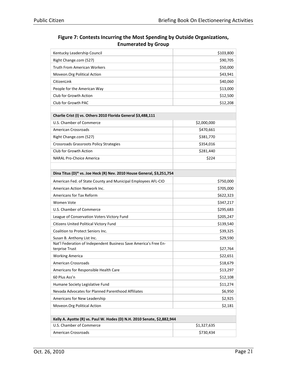| Kentucky Leadership Council                                             | \$103,800   |  |
|-------------------------------------------------------------------------|-------------|--|
| Right Change.com (527)                                                  | \$90,705    |  |
| <b>Truth From American Workers</b>                                      | \$50,000    |  |
| Moveon.Org Political Action                                             | \$43,941    |  |
| CitizenLink                                                             | \$40,060    |  |
| People for the American Way                                             | \$13,000    |  |
| Club for Growth Action                                                  | \$12,500    |  |
| Club for Growth PAC                                                     | \$12,208    |  |
| Charlie Crist (I) vs. Others 2010 Florida General \$3,488,111           |             |  |
| U.S. Chamber of Commerce                                                | \$2,000,000 |  |
| <b>American Crossroads</b>                                              | \$470,661   |  |
| Right Change.com (527)                                                  | \$381,770   |  |
| Crossroads Grassroots Policy Strategies                                 | \$354,016   |  |
| Club for Growth Action                                                  | \$281,440   |  |
| <b>NARAL Pro-Choice America</b>                                         | \$224       |  |
|                                                                         |             |  |
| Dina Titus (D)* vs. Joe Heck (R) Nev. 2010 House General, \$3,251,754   |             |  |
| American Fed. of State County and Municipal Employees AFL-CIO           | \$750,000   |  |
| American Action Network Inc.                                            | \$705,000   |  |
| <b>Americans for Tax Reform</b>                                         | \$622,323   |  |
| Women Vote                                                              | \$347,217   |  |
| U.S. Chamber of Commerce                                                | \$295,683   |  |
| League of Conservation Voters Victory Fund                              | \$205,247   |  |
| Citizens United Political Victory Fund                                  | \$139,540   |  |
| Coalition to Protect Seniors Inc.                                       | \$39,325    |  |
| Susan B. Anthony List Inc.                                              | \$29,590    |  |
| Nat'l Federation of Independent Business Save America's Free En-        |             |  |
| terprise Trust                                                          | \$27,764    |  |
| <b>Working America</b>                                                  | \$22,651    |  |
| <b>American Crossroads</b>                                              | \$18,679    |  |
| Americans for Responsible Health Care                                   | \$13,297    |  |
| 60 Plus Ass'n                                                           | \$12,108    |  |
| Humane Society Legislative Fund                                         | \$11,274    |  |
| Nevada Advocates for Planned Parenthood Affiliates                      | \$6,950     |  |
| Americans for New Leadership                                            | \$2,925     |  |
| Moveon.Org Political Action                                             | \$2,181     |  |
| Kelly A. Ayotte (R) vs. Paul W. Hodes (D) N.H. 2010 Senate, \$2,882,944 |             |  |
| U.S. Chamber of Commerce                                                | \$1,327,635 |  |
| <b>American Crossroads</b>                                              | \$730,434   |  |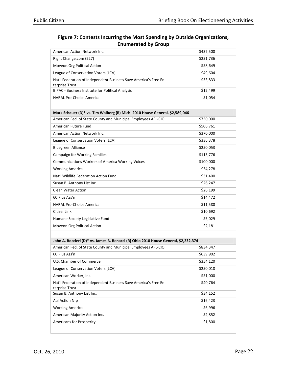| Figure 7: Contests Incurring the Most Spending by Outside Organizations, |
|--------------------------------------------------------------------------|
| <b>Enumerated by Group</b>                                               |

| American Action Network Inc.                                                        | \$437,500 |
|-------------------------------------------------------------------------------------|-----------|
| Right Change.com (527)                                                              | \$231,736 |
| Moveon.Org Political Action                                                         | \$58,649  |
| League of Conservation Voters (LCV)                                                 | \$49,604  |
| Nat'l Federation of Independent Business Save America's Free En-<br>terprise Trust  | \$33,833  |
| BIPAC - Business Institute for Political Analysis                                   | \$12,499  |
| <b>NARAL Pro-Choice America</b>                                                     | \$1,054   |
|                                                                                     |           |
| Mark Schauer (D)* vs. Tim Walberg (R) Mich. 2010 House General, \$2,589,046         |           |
| American Fed. of State County and Municipal Employees AFL-CIO                       | \$750,000 |
| American Future Fund                                                                | \$506,761 |
| American Action Network Inc.                                                        | \$370,000 |
| League of Conservation Voters (LCV)                                                 | \$336,378 |
| <b>Bluegreen Alliance</b>                                                           | \$250,053 |
| <b>Campaign for Working Families</b>                                                | \$113,776 |
| Communications Workers of America Working Voices                                    | \$100,000 |
| <b>Working America</b>                                                              | \$34,278  |
| Nat'l Wildlife Federation Action Fund                                               | \$31,400  |
| Susan B. Anthony List Inc.                                                          | \$26,247  |
| Clean Water Action                                                                  | \$26,199  |
| 60 Plus Ass'n                                                                       | \$14,472  |
| <b>NARAL Pro-Choice America</b>                                                     | \$11,580  |
| CitizenLink                                                                         | \$10,692  |
| Humane Society Legislative Fund                                                     | \$5,029   |
| Moveon.Org Political Action                                                         | \$2,181   |
|                                                                                     |           |
| John A. Boccieri (D)* vs. James B. Renacci (R) Ohio 2010 House General, \$2,232,374 |           |
| American Fed. of State County and Municipal Employees AFL-CIO                       | \$834,347 |
| 60 Plus Ass'n                                                                       | \$639,902 |
| U.S. Chamber of Commerce                                                            | \$354,120 |
| League of Conservation Voters (LCV)                                                 | \$250,018 |
| American Worker, Inc.                                                               | \$51,000  |
| Nat'l Federation of Independent Business Save America's Free En-<br>terprise Trust  | \$40,764  |
| Susan B. Anthony List Inc.                                                          | \$34,152  |
| Aul Action Nfp                                                                      | \$16,423  |
| <b>Working America</b>                                                              | \$6,996   |
| American Majority Action Inc.                                                       | \$2,852   |
| Americans for Prosperity                                                            | \$1,800   |
|                                                                                     |           |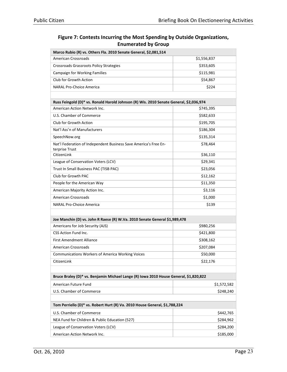| Marco Rubio (R) vs. Others Fla. 2010 Senate General, \$2,081,514                       |             |  |
|----------------------------------------------------------------------------------------|-------------|--|
| <b>American Crossroads</b>                                                             | \$1,556,837 |  |
| Crossroads Grassroots Policy Strategies                                                | \$353,605   |  |
| <b>Campaign for Working Families</b>                                                   | \$115,981   |  |
| Club for Growth Action                                                                 | \$54,867    |  |
| <b>NARAL Pro-Choice America</b>                                                        | \$224       |  |
|                                                                                        |             |  |
| Russ Feingold (D)* vs. Ronald Harold Johnson (R) Wis. 2010 Senate General, \$2,036,974 |             |  |
| American Action Network Inc.                                                           | \$745,395   |  |
| U.S. Chamber of Commerce                                                               | \$582,633   |  |
| Club for Growth Action                                                                 | \$195,705   |  |
| Nat'l Ass'n of Manufacturers                                                           | \$186,304   |  |
| SpeechNow.org                                                                          | \$135,314   |  |
| Nat'l Federation of Independent Business Save America's Free En-<br>terprise Trust     | \$78,464    |  |
| CitizenLink                                                                            | \$36,110    |  |
| League of Conservation Voters (LCV)                                                    | \$29,341    |  |
| Trust In Small Business PAC (TISB PAC)                                                 | \$23,056    |  |
| Club for Growth PAC                                                                    | \$12,162    |  |
| People for the American Way                                                            | \$11,350    |  |
| American Majority Action Inc.                                                          | \$3,116     |  |
| <b>American Crossroads</b>                                                             | \$1,000     |  |
| <b>NARAL Pro-Choice America</b>                                                        | \$139       |  |
|                                                                                        |             |  |
| Joe Manchin (D) vs. John R Raese (R) W.Va. 2010 Senate General \$1,989,478             |             |  |
| Americans for Job Security (AJS)                                                       | \$980,256   |  |
| CSS Action Fund Inc.                                                                   | \$421,800   |  |
| <b>First Amendment Alliance</b>                                                        | \$308,162   |  |
| <b>American Crossroads</b>                                                             | \$207,084   |  |
| <b>Communications Workers of America Working Voices</b>                                | \$50,000    |  |
| CitizenLink                                                                            | \$22,176    |  |
|                                                                                        |             |  |
| Bruce Braley (D)* vs. Benjamin Michael Lange (R) Iowa 2010 House General, \$1,820,822  |             |  |
| American Future Fund                                                                   | \$1,572,582 |  |
| U.S. Chamber of Commerce                                                               | \$248,240   |  |
|                                                                                        |             |  |
| Tom Perriello (D)* vs. Robert Hurt (R) Va. 2010 House General, \$1,788,224             |             |  |
| U.S. Chamber of Commerce                                                               | \$442,765   |  |
| NEA Fund for Children & Public Education (527)                                         | \$284,962   |  |
| League of Conservation Voters (LCV)                                                    | \$284,200   |  |
| American Action Network Inc.                                                           | \$185,000   |  |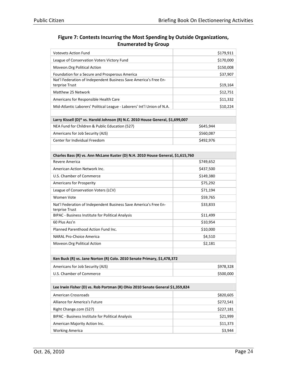| <b>Votevets Action Fund</b>                                                        | \$179,911 |  |
|------------------------------------------------------------------------------------|-----------|--|
| League of Conservation Voters Victory Fund                                         | \$170,000 |  |
| Moveon.Org Political Action                                                        | \$150,008 |  |
| Foundation for a Secure and Prosperous America                                     | \$37,907  |  |
| Nat'l Federation of Independent Business Save America's Free En-                   |           |  |
| terprise Trust                                                                     | \$19,164  |  |
| Matthew 25 Network                                                                 | \$12,751  |  |
| Americans for Responsible Health Care                                              | \$11,332  |  |
| Mid-Atlantic Laborers' Political League - Laborers' Int'l Union of N.A.            | \$10,224  |  |
| Larry Kissell (D)* vs. Harold Johnson (R) N.C. 2010 House General, \$1,699,007     |           |  |
| NEA Fund for Children & Public Education (527)                                     | \$645,944 |  |
| Americans for Job Security (AJS)                                                   | \$560,087 |  |
| Center for Individual Freedom                                                      | \$492,976 |  |
|                                                                                    |           |  |
| Charles Bass (R) vs. Ann McLane Kuster (D) N.H. 2010 House General, \$1,615,760    |           |  |
| Revere America                                                                     | \$749,652 |  |
| American Action Network Inc.                                                       | \$437,500 |  |
| U.S. Chamber of Commerce                                                           | \$149,380 |  |
| Americans for Prosperity                                                           | \$75,292  |  |
| League of Conservation Voters (LCV)                                                | \$71,194  |  |
| <b>Women Vote</b>                                                                  | \$59,765  |  |
| Nat'l Federation of Independent Business Save America's Free En-<br>terprise Trust | \$33,833  |  |
| BIPAC - Business Institute for Political Analysis                                  | \$11,499  |  |
| 60 Plus Ass'n                                                                      | \$10,954  |  |
| Planned Parenthood Action Fund Inc.                                                | \$10,000  |  |
| <b>NARAL Pro-Choice America</b>                                                    | \$4,510   |  |
| Moveon. Org Political Action                                                       | \$2,181   |  |
|                                                                                    |           |  |
| Ken Buck (R) vs. Jane Norton (R) Colo. 2010 Senate Primary, \$1,478,372            |           |  |
| Americans for Job Security (AJS)                                                   | \$978,328 |  |
| U.S. Chamber of Commerce                                                           | \$500,000 |  |
|                                                                                    |           |  |
| Lee Irwin Fisher (D) vs. Rob Portman (R) Ohio 2010 Senate General \$1,359,824      |           |  |
| <b>American Crossroads</b>                                                         | \$820,605 |  |
| Alliance for America's Future                                                      | \$272,541 |  |
| Right Change.com (527)                                                             | \$227,181 |  |
| BIPAC - Business Institute for Political Analysis                                  | \$21,999  |  |
| American Majority Action Inc.                                                      | \$11,373  |  |
| <b>Working America</b>                                                             | \$3,944   |  |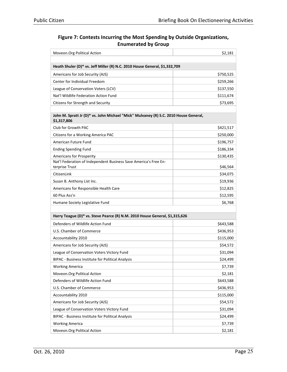| Moveon.Org Political Action                                                                         | \$2,181   |
|-----------------------------------------------------------------------------------------------------|-----------|
|                                                                                                     |           |
| Heath Shuler (D)* vs. Jeff Miller (R) N.C. 2010 House General, \$1,332,709                          |           |
| Americans for Job Security (AJS)                                                                    | \$750,525 |
| Center for Individual Freedom                                                                       | \$259,266 |
| League of Conservation Voters (LCV)                                                                 | \$137,550 |
| Nat'l Wildlife Federation Action Fund                                                               | \$111,674 |
| Citizens for Strength and Security                                                                  | \$73,695  |
|                                                                                                     |           |
| John M. Spratt Jr (D)* vs. John Michael "Mick" Mulvaney (R) S.C. 2010 House General,<br>\$1,317,806 |           |
| Club for Growth PAC                                                                                 | \$421,517 |
| Citizens for a Working America PAC                                                                  | \$250,000 |
| American Future Fund                                                                                | \$196,757 |
| <b>Ending Spending Fund</b>                                                                         | \$186,334 |
| <b>Americans for Prosperity</b>                                                                     | \$130,435 |
| Nat'l Federation of Independent Business Save America's Free En-<br>terprise Trust                  | \$46,564  |
| CitizenLink                                                                                         | \$34,075  |
| Susan B. Anthony List Inc.                                                                          | \$19,936  |
| Americans for Responsible Health Care                                                               | \$12,825  |
| 60 Plus Ass'n                                                                                       | \$12,595  |
| Humane Society Legislative Fund                                                                     | \$6,768   |
|                                                                                                     |           |
| Harry Teague (D)* vs. Steve Pearce (R) N.M. 2010 House General, \$1,315,626                         |           |
| Defenders of Wildlife Action Fund                                                                   | \$643,588 |
| U.S. Chamber of Commerce                                                                            | \$436,953 |
| Accountability 2010                                                                                 | \$115,000 |
| Americans for Job Security (AJS)                                                                    | \$54,572  |
| League of Conservation Voters Victory Fund                                                          | \$31,094  |
| BIPAC - Business Institute for Political Analysis                                                   | \$24,499  |
| <b>Working America</b>                                                                              | \$7,739   |
| Moveon.Org Political Action                                                                         | \$2,181   |
| Defenders of Wildlife Action Fund                                                                   | \$643,588 |
| U.S. Chamber of Commerce                                                                            | \$436,953 |
| Accountability 2010                                                                                 | \$115,000 |
| Americans for Job Security (AJS)                                                                    | \$54,572  |
| League of Conservation Voters Victory Fund                                                          | \$31,094  |
| BIPAC - Business Institute for Political Analysis                                                   | \$24,499  |
| <b>Working America</b>                                                                              | \$7,739   |
| Moveon.Org Political Action                                                                         | \$2,181   |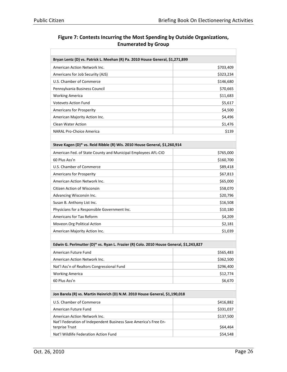| Bryan Lentz (D) vs. Patrick L. Meehan (R) Pa. 2010 House General, \$1,271,899                    |           |
|--------------------------------------------------------------------------------------------------|-----------|
| American Action Network Inc.                                                                     | \$703,409 |
| Americans for Job Security (AJS)                                                                 | \$323,234 |
| U.S. Chamber of Commerce                                                                         | \$146,680 |
| Pennsylvania Business Council                                                                    | \$70,665  |
| <b>Working America</b>                                                                           | \$11,683  |
| <b>Votevets Action Fund</b>                                                                      | \$5,617   |
| <b>Americans for Prosperity</b>                                                                  | \$4,500   |
| American Majority Action Inc.                                                                    | \$4,496   |
| <b>Clean Water Action</b>                                                                        | \$1,476   |
| <b>NARAL Pro-Choice America</b>                                                                  | \$139     |
|                                                                                                  |           |
| Steve Kagen (D)* vs. Reid Ribble (R) Wis. 2010 House General, \$1,260,914                        |           |
| American Fed. of State County and Municipal Employees AFL-CIO                                    | \$765,000 |
| 60 Plus Ass'n                                                                                    | \$160,700 |
| U.S. Chamber of Commerce                                                                         | \$89,418  |
| Americans for Prosperity                                                                         | \$67,813  |
| American Action Network Inc.                                                                     | \$65,000  |
| Citizen Action of Wisconsin                                                                      | \$58,070  |
| Advancing Wisconsin Inc.                                                                         | \$20,796  |
| Susan B. Anthony List Inc.                                                                       | \$16,508  |
| Physicians for a Responsible Government Inc.                                                     | \$10,180  |
| Americans for Tax Reform                                                                         | \$4,209   |
| Moveon.Org Political Action                                                                      | \$2,181   |
| American Majority Action Inc.                                                                    | \$1,039   |
|                                                                                                  |           |
| Edwin G. Perlmutter (D)* vs. Ryan L. Frazier (R) Colo. 2010 House General, \$1,243,827           |           |
| American Future Fund                                                                             | \$565,483 |
| American Action Network Inc.                                                                     | \$362,500 |
| Nat'l Ass'n of Realtors Congressional Fund                                                       | \$296,400 |
| <b>Working America</b>                                                                           | \$12,774  |
| 60 Plus Ass'n                                                                                    | \$6,670   |
|                                                                                                  |           |
| Jon Barela (R) vs. Martin Heinrich (D) N.M. 2010 House General, \$1,190,018                      |           |
| U.S. Chamber of Commerce                                                                         | \$416,882 |
| American Future Fund                                                                             | \$331,037 |
| American Action Network Inc.<br>Nat'l Federation of Independent Business Save America's Free En- | \$137,500 |
| terprise Trust                                                                                   | \$64,464  |
| Nat'l Wildlife Federation Action Fund                                                            | \$54,548  |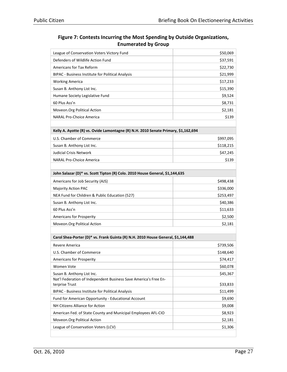| \$50,069  |
|-----------|
| \$37,591  |
| \$22,730  |
| \$21,999  |
| \$17,233  |
| \$15,390  |
| \$9,524   |
| \$8,731   |
| \$2,181   |
| \$139     |
|           |
| \$997,095 |
| \$118,215 |
| \$47,245  |
| \$139     |
|           |
|           |
| \$498,438 |
| \$336,000 |
| \$253,497 |
| \$40,386  |
| \$11,633  |
| \$2,500   |
| \$2,181   |
|           |
|           |
| \$739,506 |
| \$148,640 |
| \$74,417  |
| \$60,078  |
| \$45,367  |
|           |
| \$33,833  |
| \$11,499  |
| \$9,690   |
| \$9,008   |
| \$8,923   |
| \$2,181   |
|           |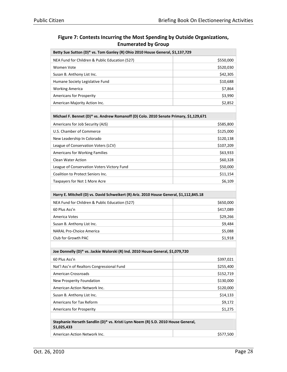| Figure 7: Contests Incurring the Most Spending by Outside Organizations, |
|--------------------------------------------------------------------------|
| <b>Enumerated by Group</b>                                               |

| Betty Sue Sutton (D)* vs. Tom Ganley (R) Ohio 2010 House General, \$1,137,729                   |           |
|-------------------------------------------------------------------------------------------------|-----------|
| NEA Fund for Children & Public Education (527)                                                  | \$550,000 |
| <b>Women Vote</b>                                                                               | \$520,030 |
| Susan B. Anthony List Inc.                                                                      | \$42,305  |
| Humane Society Legislative Fund                                                                 | \$10,688  |
| <b>Working America</b>                                                                          | \$7,864   |
| <b>Americans for Prosperity</b>                                                                 | \$3,990   |
| American Majority Action Inc.                                                                   | \$2,852   |
|                                                                                                 |           |
| Michael F. Bennet (D)* vs. Andrew Romanoff (D) Colo. 2010 Senate Primary, \$1,129,671           |           |
| Americans for Job Security (AJS)                                                                | \$585,800 |
| U.S. Chamber of Commerce                                                                        | \$125,000 |
| New Leadership In Colorado                                                                      | \$120,138 |
| League of Conservation Voters (LCV)                                                             | \$107,209 |
| Americans for Working Families                                                                  | \$63,933  |
| <b>Clean Water Action</b>                                                                       | \$60,328  |
| League of Conservation Voters Victory Fund                                                      | \$50,000  |
| Coalition to Protect Seniors Inc.                                                               | \$11,154  |
| Taxpayers for Not 1 More Acre                                                                   | \$6,109   |
|                                                                                                 |           |
| Harry E. Mitchell (D) vs. David Schweikert (R) Ariz. 2010 House General, \$1,112,845.18         |           |
| NEA Fund for Children & Public Education (527)                                                  | \$650,000 |
| 60 Plus Ass'n                                                                                   | \$417,089 |
| America Votes                                                                                   | \$29,266  |
| Susan B. Anthony List Inc.                                                                      | \$9,484   |
| <b>NARAL Pro-Choice America</b>                                                                 | \$5,088   |
| Club for Growth PAC                                                                             | \$1,918   |
|                                                                                                 |           |
| Joe Donnelly (D)* vs. Jackie Walorski (R) Ind. 2010 House General, \$1,079,720                  |           |
| 60 Plus Ass'n                                                                                   | \$397,021 |
| Nat'l Ass'n of Realtors Congressional Fund                                                      | \$255,400 |
| <b>American Crossroads</b>                                                                      | \$152,719 |
| New Prosperity Foundation                                                                       | \$130,000 |
| American Action Network Inc.                                                                    | \$120,000 |
| Susan B. Anthony List Inc.                                                                      | \$14,133  |
| Americans for Tax Reform                                                                        | \$9,172   |
| Americans for Prosperity                                                                        | \$1,275   |
|                                                                                                 |           |
| Stephanie Herseth Sandlin (D)* vs. Kristi Lynn Noem (R) S.D. 2010 House General,<br>\$1,025,433 |           |
| American Action Network Inc.                                                                    | \$577,500 |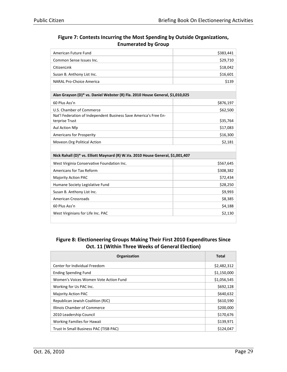| American Future Fund                                                           | \$383,441 |
|--------------------------------------------------------------------------------|-----------|
| Common Sense Issues Inc.                                                       | \$29,710  |
| CitizenLink                                                                    | \$18,042  |
| Susan B. Anthony List Inc.                                                     | \$16,601  |
| NARAL Pro-Choice America                                                       | \$139     |
|                                                                                |           |
| Alan Grayson (D)* vs. Daniel Webster (R) Fla. 2010 House General, \$1,010,025  |           |
| 60 Plus Ass'n                                                                  | \$876,197 |
| U.S. Chamber of Commerce                                                       | \$62,500  |
| Nat'l Federation of Independent Business Save America's Free En-               |           |
| terprise Trust                                                                 | \$35,764  |
| Aul Action Nfp                                                                 | \$17,083  |
| <b>Americans for Prosperity</b>                                                | \$16,300  |
| Moveon. Org Political Action                                                   | \$2,181   |
|                                                                                |           |
| Nick Rahall (D)* vs. Elliott Maynard (R) W.Va. 2010 House General, \$1,001,407 |           |
| West Virginia Conservative Foundation Inc.                                     | \$567,645 |
| Americans for Tax Reform                                                       | \$308,382 |
| <b>Majority Action PAC</b>                                                     | \$72,434  |
| Humane Society Legislative Fund                                                | \$28,250  |
| Susan B. Anthony List Inc.                                                     | \$9,993   |
| American Crossroads                                                            | \$8,385   |
| 60 Plus Ass'n                                                                  | \$4,188   |
| West Virginians for Life Inc. PAC                                              | \$2,130   |

#### Figure 8: Electioneering Groups Making Their First 2010 Expenditures Since Oct. 11 (Within Three Weeks of General Election)

| Organization                           | <b>Total</b> |
|----------------------------------------|--------------|
| Center for Individual Freedom          | \$2,482,312  |
| <b>Ending Spending Fund</b>            | \$1,150,000  |
| Women's Voices Women Vote Action Fund  | \$1,056,545  |
| Working for Us PAC Inc.                | \$692,128    |
| <b>Majority Action PAC</b>             | \$640,632    |
| Republican Jewish Coalition (RJC)      | \$610,590    |
| Illinois Chamber of Commerce           | \$200,000    |
| 2010 Leadership Council                | \$170,676    |
| <b>Working Families for Hawaii</b>     | \$139,971    |
| Trust In Small Business PAC (TISB PAC) | \$124,047    |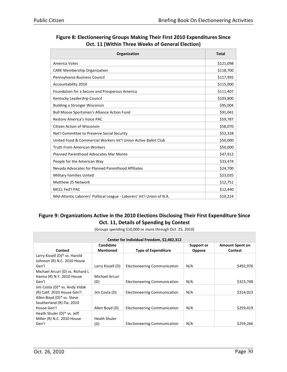| Organization                                                            | <b>Total</b> |
|-------------------------------------------------------------------------|--------------|
| America Votes                                                           | \$121,098    |
| <b>CARE Membership Organization</b>                                     | \$118,700    |
| Pennsylvania Business Council                                           | \$117,992    |
| Accountability 2010                                                     | \$115,000    |
| Foundation for a Secure and Prosperous America                          | \$111,407    |
| Kentucky Leadership Council                                             | \$103,800    |
| <b>Building a Stronger Wisconsin</b>                                    | \$95,004     |
| <b>Bull Moose Sportsmen's Alliance Action Fund</b>                      | \$91,041     |
| Restore America's Voice PAC                                             | \$59,787     |
| <b>Citizen Action of Wisconsin</b>                                      | \$58,070     |
| Nat'l Committee to Preserve Social Security                             | \$52,328     |
| United Food & Commercial Workers Int'l Union Active Ballot Club         | \$50,000     |
| <b>Truth From American Workers</b>                                      | \$50,000     |
| Planned Parenthood Advocates Mar Monte                                  | \$47,912     |
| People for the American Way                                             | \$33,474     |
| Nevada Advocates for Planned Parenthood Affiliates                      | \$24,700     |
| <b>Military Families United</b>                                         | \$23,035     |
| Matthew 25 Network                                                      | \$12,751     |
| MCCL Fed'l PAC                                                          | \$12,440     |
| Mid-Atlantic Laborers' Political League - Laborers' Int'l Union of N.A. | \$10,224     |

#### Figure 8: Electioneering Groups Making Their First 2010 Expenditures Since Oct. 11 (Within Three Weeks of General Election)

#### Figure 9: Organizations Active in the 2010 Elections Disclosing Their First Expenditure Since Oct. 11, Details of Spending by Contest

| (Groups spending \$10,000 or more through Oct. 25, 2010) |  |
|----------------------------------------------------------|--|
|                                                          |  |
|                                                          |  |

| Center for Individual Freedom, \$2,482,312 |                     |                                     |            |                        |
|--------------------------------------------|---------------------|-------------------------------------|------------|------------------------|
|                                            | Candidate           |                                     | Support or | <b>Amount Spent on</b> |
| <b>Contest</b>                             | <b>Mentioned</b>    | <b>Type of Expenditure</b>          | Oppose     | <b>Contest</b>         |
| Larry Kissell (D)* vs. Harold              |                     |                                     |            |                        |
| Johnson (R) N.C. 2010 House                |                     |                                     |            |                        |
| Gen'l                                      | Larry Kissell (D)   | Electioneering Communication        | N/A        | \$492,976              |
| Michael Arcuri (D) vs. Richard L           |                     |                                     |            |                        |
| Hanna (R) N.Y. 2010 House                  | Michael Arcuri      |                                     |            |                        |
| Gen'l                                      | (D)                 | <b>Electioneering Communication</b> | N/A        | \$323,748              |
| Jim Costa (D)* vs. Andy Vidak              |                     |                                     |            |                        |
| (R) Calif. 2010 House Gen'l                | Jim Costa (D)       | Electioneering Communication        | N/A        | \$314,023              |
| Allen Boyd (D)* vs. Steve                  |                     |                                     |            |                        |
| Southerland (R) Fla. 2010                  |                     |                                     |            |                        |
| House Gen'l                                | Allen Boyd (D)      | Electioneering Communication        | N/A        | \$259,419              |
| Heath Shuler (D)* vs. Jeff                 |                     |                                     |            |                        |
| Miller (R) N.C. 2010 House                 | <b>Heath Shuler</b> |                                     |            |                        |
| Gen'l                                      | (D)                 | Electioneering Communication        | N/A        | \$259,266              |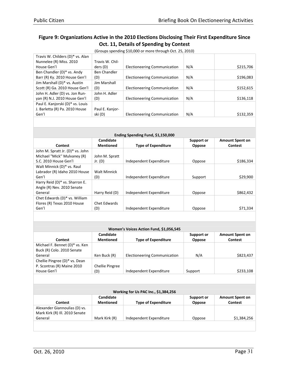|  | (Groups spending \$10,000 or more through Oct. 25, 2010) |  |
|--|----------------------------------------------------------|--|
|  |                                                          |  |

| Travis W. Childers (D)* vs. Alan |                     |                                     |     |           |
|----------------------------------|---------------------|-------------------------------------|-----|-----------|
|                                  | Travis W. Chil-     |                                     |     |           |
| Nunnelee (R) Miss. 2010          |                     |                                     |     |           |
| House Gen'l                      | ders (D)            | <b>Electioneering Communication</b> | N/A | \$215,706 |
| Ben Chandler (D)* vs. Andy       | <b>Ben Chandler</b> |                                     |     |           |
| Barr (R) Ky. 2010 House Gen'l    | (D)                 | <b>Electioneering Communication</b> | N/A | \$196,083 |
| Jim Marshall (D)* vs. Austin     | Jim Marshall        |                                     |     |           |
| Scott (R) Ga. 2010 House Gen'l   | (D)                 | <b>Electioneering Communication</b> | N/A | \$152,615 |
| John H. Adler (D) vs. Jon Run-   | John H. Adler       |                                     |     |           |
| yan (R) N.J. 2010 House Gen'l    | (D)                 | <b>Electioneering Communication</b> | N/A | \$136,118 |
| Paul E. Kanjorski (D)* vs. Louis |                     |                                     |     |           |
| J. Barletta (R) Pa. 2010 House   | Paul E. Kanjor-     |                                     |     |           |
| Gen'l                            | ski (D)             | <b>Electioneering Communication</b> | N/A | \$132,359 |
|                                  |                     |                                     |     |           |

| Ending Spending Fund, \$1,150,000 |                            |                             |                                          |  |
|-----------------------------------|----------------------------|-----------------------------|------------------------------------------|--|
| Candidate<br>Mentioned            | <b>Type of Expenditure</b> | Support or<br><b>Oppose</b> | <b>Amount Spent on</b><br><b>Contest</b> |  |
| John M. Spratt<br>Jr. $(D)$       | Independent Expenditure    | Oppose                      | \$186,334                                |  |
| <b>Walt Minnick</b><br>(D)        | Independent Expenditure    | Support                     | \$29,900                                 |  |
| Harry Reid (D)                    | Independent Expenditure    | Oppose                      | \$862,432                                |  |
| Chet Edwards<br>(D)               | Independent Expenditure    | Oppose                      | \$71,334                                 |  |
|                                   |                            |                             |                                          |  |

| Women's Voices Action Fund, \$1,056,545 |                               |                              |                             |                                   |  |
|-----------------------------------------|-------------------------------|------------------------------|-----------------------------|-----------------------------------|--|
| Contest                                 | Candidate<br><b>Mentioned</b> | <b>Type of Expenditure</b>   | Support or<br><b>Oppose</b> | <b>Amount Spent on</b><br>Contest |  |
| Michael F. Bennet (D)* vs. Ken          |                               |                              |                             |                                   |  |
| Buck (R) Colo. 2010 Senate              |                               |                              |                             |                                   |  |
| General                                 | Ken Buck (R)                  | Electioneering Communication | N/A                         | \$823,437                         |  |
| Chellie Pingree (D)* vs. Dean           |                               |                              |                             |                                   |  |
| P. Scontras (R) Maine 2010              | Chellie Pingree               |                              |                             |                                   |  |
| House Gen'l                             | (D)                           | Independent Expenditure      | Support                     | \$233,108                         |  |
|                                         |                               |                              |                             |                                   |  |

| Working for Us PAC Inc., \$1,384,256                            |                               |                            |                             |                                   |  |
|-----------------------------------------------------------------|-------------------------------|----------------------------|-----------------------------|-----------------------------------|--|
| Contest                                                         | Candidate<br><b>Mentioned</b> | <b>Type of Expenditure</b> | Support or<br><b>Oppose</b> | <b>Amount Spent on</b><br>Contest |  |
| Alexander Giannoulias (D) vs.<br>Mark Kirk (R) Ill. 2010 Senate |                               |                            |                             |                                   |  |
| General                                                         | Mark Kirk (R)                 | Independent Expenditure    | Oppose                      | \$1,384,256                       |  |
|                                                                 |                               |                            |                             |                                   |  |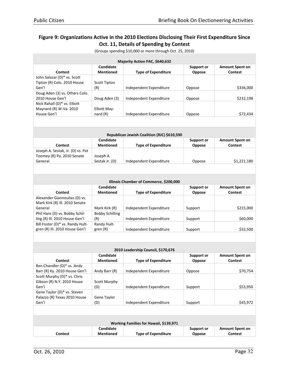| Majority Action PAC, \$640,632                                  |                        |                                             |                   |                        |  |
|-----------------------------------------------------------------|------------------------|---------------------------------------------|-------------------|------------------------|--|
|                                                                 | Candidate              |                                             | Support or        | <b>Amount Spent on</b> |  |
| <b>Contest</b>                                                  | <b>Mentioned</b>       | <b>Type of Expenditure</b>                  | <b>Oppose</b>     | Contest                |  |
| John Salazar (D)* vs. Scott                                     |                        |                                             |                   |                        |  |
| Tipton (R) Colo. 2010 House                                     | <b>Scott Tipton</b>    |                                             |                   |                        |  |
| Gen'l                                                           | (R)                    | Independent Expenditure                     | Oppose            | \$336,000              |  |
| Doug Aden (3) vs. Others Colo.                                  |                        |                                             |                   |                        |  |
| 2010 House Gen'l                                                | Doug Aden (3)          | Independent Expenditure                     | Oppose            | \$232,198              |  |
| Nick Rahall (D)* vs. Elliott                                    |                        |                                             |                   |                        |  |
| Maynard (R) W.Va. 2010                                          | <b>Elliott May-</b>    |                                             |                   |                        |  |
| House Gen'l                                                     | nard $(R)$             | Independent Expenditure                     | Oppose            | \$72,434               |  |
|                                                                 |                        |                                             |                   |                        |  |
|                                                                 |                        |                                             |                   |                        |  |
|                                                                 |                        | Republican Jewish Coalition (RJC) \$610,590 |                   |                        |  |
|                                                                 | Candidate              |                                             | <b>Support or</b> | <b>Amount Spent on</b> |  |
| <b>Contest</b>                                                  | <b>Mentioned</b>       | <b>Type of Expenditure</b>                  | Oppose            | Contest                |  |
|                                                                 |                        |                                             |                   |                        |  |
| Joseph A. Sestak, Jr. (D) vs. Pat<br>Toomey (R) Pa. 2010 Senate | Joseph A.              |                                             |                   |                        |  |
|                                                                 |                        |                                             |                   |                        |  |
| General                                                         | Sestak Jr. (D)         | Independent Expenditure                     | Oppose            | \$1,221,180            |  |
|                                                                 |                        |                                             |                   |                        |  |
|                                                                 |                        |                                             |                   |                        |  |
|                                                                 |                        | Illinois Chamber of Commerce, \$200,000     |                   |                        |  |
|                                                                 | Candidate              |                                             | Support or        | <b>Amount Spent on</b> |  |
| <b>Contest</b>                                                  | <b>Mentioned</b>       | <b>Type of Expenditure</b>                  | Oppose            | Contest                |  |
| Alexander Giannoulias (D) vs.                                   |                        |                                             |                   |                        |  |
| Mark Kirk (R) Ill. 2010 Senate                                  |                        |                                             |                   |                        |  |
| General                                                         | Mark Kirk (R)          | Independent Expenditure                     | Support           | \$215,000              |  |
| Phil Hare (D) vs. Bobby Schil-                                  | <b>Bobby Schilling</b> |                                             |                   |                        |  |
| ling (R) Ill. 2010 House Gen'l                                  | (R)                    | Independent Expenditure                     | Support           | \$60,000               |  |
| Bill Foster (D)* vs. Randy Hult-                                | Randy Hult-            |                                             |                   |                        |  |
| gren (R) Ill. 2010 House Gen'l                                  | gren (R)               | Independent Expenditure                     | Support           | \$32,500               |  |
|                                                                 |                        |                                             |                   |                        |  |
|                                                                 |                        |                                             |                   |                        |  |
|                                                                 |                        |                                             |                   |                        |  |
|                                                                 |                        | 2010 Leadership Council, \$170,676          |                   |                        |  |
|                                                                 | Candidate              |                                             | Support or        | <b>Amount Spent on</b> |  |
| <b>Contest</b>                                                  | <b>Mentioned</b>       | <b>Type of Expenditure</b>                  | Oppose            | <b>Contest</b>         |  |
| Ben Chandler (D)* vs. Andy                                      |                        |                                             |                   |                        |  |
| Barr (R) Ky. 2010 House Gen'l                                   | Andy Barr (R)          | Independent Expenditure                     | Oppose            | \$70,754               |  |
| Scott Murphy (D)* vs. Chris                                     |                        |                                             |                   |                        |  |
| Gibson (R) N.Y. 2010 House                                      | <b>Scott Murphy</b>    |                                             |                   |                        |  |
| Gen'l                                                           | (D)                    | Independent Expenditure                     | Support           | \$53,950               |  |
| Gene Taylor (D)* vs. Steven                                     |                        |                                             |                   |                        |  |
| Palazzo (R) Texas 2010 House                                    | Gene Taylor            |                                             |                   |                        |  |
| Gen'l                                                           |                        | Independent Expenditure                     |                   | \$45,972               |  |
|                                                                 | (D)                    |                                             | Support           |                        |  |
|                                                                 |                        |                                             |                   |                        |  |
|                                                                 |                        |                                             |                   |                        |  |
|                                                                 |                        | Working Families for Hawaii, \$139,971      |                   |                        |  |
|                                                                 | Candidate              |                                             | <b>Support or</b> | <b>Amount Spent on</b> |  |
| <b>Contest</b>                                                  | Mentioned              | <b>Type of Expenditure</b>                  | Oppose            | <b>Contest</b>         |  |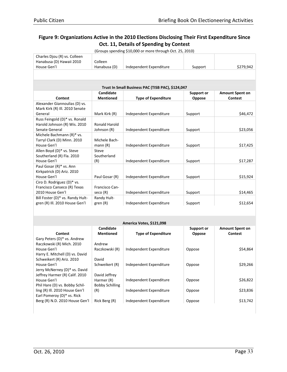|                                                           |                      | (Groups spending \$10,000 or more through Oct. 25, 2010) |                   |                        |
|-----------------------------------------------------------|----------------------|----------------------------------------------------------|-------------------|------------------------|
| Charles Djou (R) vs. Colleen                              |                      |                                                          |                   |                        |
| Hanabusa (D) Hawaii 2010                                  | Colleen              |                                                          |                   |                        |
| House Gen'l                                               | Hanabusa (D)         | Independent Expenditure                                  | Support           | \$279,942              |
|                                                           |                      |                                                          |                   |                        |
|                                                           |                      |                                                          |                   |                        |
|                                                           |                      | Trust In Small Business PAC (TISB PAC), \$124,047        |                   |                        |
|                                                           | Candidate            |                                                          | <b>Support or</b> | <b>Amount Spent on</b> |
| Contest                                                   | <b>Mentioned</b>     | <b>Type of Expenditure</b>                               | Oppose            | <b>Contest</b>         |
| Alexander Giannoulias (D) vs.                             |                      |                                                          |                   |                        |
| Mark Kirk (R) Ill. 2010 Senate                            |                      |                                                          |                   |                        |
| General                                                   | Mark Kirk (R)        | Independent Expenditure                                  | Support           | \$46,472               |
| Russ Feingold (D)* vs. Ronald                             |                      |                                                          |                   |                        |
| Harold Johnson (R) Wis. 2010                              | <b>Ronald Harold</b> |                                                          |                   |                        |
| Senate General                                            | Johnson (R)          | Independent Expenditure                                  | Support           | \$23,056               |
| Michele Bachmann (R)* vs.                                 |                      |                                                          |                   |                        |
| Tarryl Clark (D) Minn. 2010                               | Michele Bach-        |                                                          |                   |                        |
| House Gen'l                                               | mann(R)              | Independent Expenditure                                  | Support           | \$17,425               |
| Allen Boyd (D)* vs. Steve                                 | Steve                |                                                          |                   |                        |
| Southerland (R) Fla. 2010                                 | Southerland          |                                                          |                   |                        |
| House Gen'l                                               | (R)                  | Independent Expenditure                                  | Support           | \$17,287               |
| Paul Gosar (R)* vs. Ann                                   |                      |                                                          |                   |                        |
| Kirkpatrick (D) Ariz. 2010                                |                      |                                                          |                   |                        |
| House Gen'l                                               | Paul Gosar (R)       | Independent Expenditure                                  | Support           | \$15,924               |
| Ciro D. Rodriguez (D)* vs.                                |                      |                                                          |                   |                        |
| Francisco Canseco (R) Texas                               | Francisco Can-       |                                                          |                   |                        |
| 2010 House Gen'l                                          | seco(R)              | Independent Expenditure                                  | Support           | \$14,465               |
| Bill Foster (D)* vs. Randy Hult-                          | Randy Hult-          |                                                          |                   |                        |
| gren (R) Ill. 2010 House Gen'l                            | green(R)             | Independent Expenditure                                  | Support           | \$12,654               |
|                                                           |                      |                                                          |                   |                        |
|                                                           |                      | America Votes, \$121,098                                 |                   |                        |
|                                                           | Candidate            |                                                          | <b>Support or</b> | Amount Spent on        |
| <b>Contest</b>                                            | <b>Mentioned</b>     | <b>Type of Expenditure</b>                               | Oppose            | <b>Contest</b>         |
| Gary Peters (D)* vs. Andrew                               |                      |                                                          |                   |                        |
| Raczkowski (R) Mich. 2010                                 | Andrew               |                                                          |                   |                        |
| House Gen'l                                               | Raczkowski (R)       | Independent Expenditure                                  | Oppose            | \$54,864               |
| Harry E. Mitchell (D) vs. David                           |                      |                                                          |                   |                        |
| Schweikert (R) Ariz. 2010                                 | David                |                                                          |                   |                        |
| House Gen'l                                               | Schweikert (R)       | Independent Expenditure                                  | Oppose            | \$29,266               |
| $l_{\alpha\mu\mu\nu}$ , Mallornov $\overline{D}$ We Dovid |                      |                                                          |                   |                        |

| <b>Contest</b>                  | Candidate<br><b>Mentioned</b> | <b>Type of Expenditure</b> | Support or<br>Oppose | <b>Amount Spent on</b><br><b>Contest</b> |
|---------------------------------|-------------------------------|----------------------------|----------------------|------------------------------------------|
| Gary Peters (D)* vs. Andrew     |                               |                            |                      |                                          |
| Raczkowski (R) Mich. 2010       | Andrew                        |                            |                      |                                          |
| House Gen'l                     | Raczkowski (R)                | Independent Expenditure    | Oppose               | \$54,864                                 |
| Harry E. Mitchell (D) vs. David |                               |                            |                      |                                          |
| Schweikert (R) Ariz. 2010       | David                         |                            |                      |                                          |
| House Gen'l                     | Schweikert (R)                | Independent Expenditure    | Oppose               | \$29,266                                 |
| Jerry McNerney (D)* vs. David   |                               |                            |                      |                                          |
| Jeffrey Harmer (R) Calif. 2010  | David Jeffrey                 |                            |                      |                                          |
| House Gen'l                     | Harmer (R)                    | Independent Expenditure    | Oppose               | \$26,822                                 |
| Phil Hare (D) vs. Bobby Schil-  | <b>Bobby Schilling</b>        |                            |                      |                                          |
| ling (R) Ill. 2010 House Gen'l  | (R)                           | Independent Expenditure    | Oppose               | \$23,836                                 |
| Earl Pomeroy (D)* vs. Rick      |                               |                            |                      |                                          |
| Berg (R) N.D. 2010 House Gen'l  | Rick Berg (R)                 | Independent Expenditure    | Oppose               | \$13,742                                 |
|                                 |                               |                            |                      |                                          |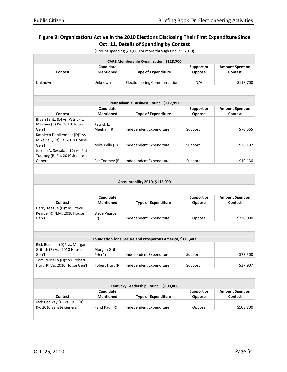| <b>Contest</b>                         | Candidate                     | CARE Membership Organization, \$118,700                   | <b>Support or</b>    | <b>Amount Spent on</b>                   |
|----------------------------------------|-------------------------------|-----------------------------------------------------------|----------------------|------------------------------------------|
|                                        |                               |                                                           |                      |                                          |
|                                        | <b>Mentioned</b>              | <b>Type of Expenditure</b>                                | Oppose               | <b>Contest</b>                           |
| Unknown                                | Unknown                       | <b>Electioneering Communication</b>                       | N/A                  | \$118,700                                |
|                                        |                               |                                                           |                      |                                          |
|                                        |                               |                                                           |                      |                                          |
|                                        |                               | Pennsylvania Business Council \$117,992                   |                      |                                          |
| Contest                                | Candidate<br><b>Mentioned</b> | <b>Type of Expenditure</b>                                | Support or<br>Oppose | <b>Amount Spent on</b><br><b>Contest</b> |
| Bryan Lentz (D) vs. Patrick L.         |                               |                                                           |                      |                                          |
| Meehan (R) Pa. 2010 House<br>Gen'l     | Patrick L.<br>Meehan (R)      | Independent Expenditure                                   | Support              | \$70,665                                 |
| Kathleen Dahlkemper (D)* vs.           |                               |                                                           |                      |                                          |
| Mike Kelly (R) Pa. 2010 House          |                               |                                                           |                      |                                          |
| Gen'l                                  | Mike Kelly (R)                | Independent Expenditure                                   | Support              | \$28,197                                 |
| Joseph A. Sestak, Jr (D) vs. Pat       |                               |                                                           |                      |                                          |
| Toomey (R) Pa. 2010 Senate             |                               |                                                           |                      |                                          |
| General                                | Pat Toomey (R)                | Independent Expenditure                                   | Support              | \$19,130                                 |
|                                        |                               |                                                           |                      |                                          |
|                                        |                               |                                                           |                      |                                          |
|                                        |                               | Accountability 2010, \$115,000                            |                      |                                          |
|                                        |                               |                                                           |                      |                                          |
|                                        | Candidate                     |                                                           | <b>Support or</b>    | <b>Amount Spent on</b>                   |
| Contest                                | <b>Mentioned</b>              | <b>Type of Expenditure</b>                                | Oppose               | <b>Contest</b>                           |
| Harry Teague (D)* vs. Steve            |                               |                                                           |                      |                                          |
| Pearce (R) N.M. 2010 House<br>Gen'l    | <b>Steve Pearce</b><br>(R)    | Independent Expenditure                                   | Oppose               | \$230,000                                |
|                                        |                               |                                                           |                      |                                          |
|                                        |                               |                                                           |                      |                                          |
|                                        |                               | Foundation for a Secure and Prosperous America, \$111,407 |                      |                                          |
| Rick Boucher (D)* vs. Morgan           |                               |                                                           |                      |                                          |
| Griffith (R) Va. 2010 House            | Morgan Grif-                  |                                                           |                      |                                          |
| Gen'l                                  | fith(R)                       | Independent Expenditure                                   | Support              | \$73,500                                 |
| Tom Perriello (D)* vs. Robert          |                               |                                                           |                      |                                          |
| Hurt (R) Va. 2010 House Gen'l          | Robert Hurt (R)               | Independent Expenditure                                   | Support              | \$37,907                                 |
|                                        |                               |                                                           |                      |                                          |
| Kentucky Leadership Council, \$103,800 |                               |                                                           |                      |                                          |
|                                        | Candidate                     |                                                           | <b>Support or</b>    | <b>Amount Spent on</b>                   |
| <b>Contest</b>                         | <b>Mentioned</b>              | <b>Type of Expenditure</b>                                | Oppose               | <b>Contest</b>                           |
|                                        |                               |                                                           |                      |                                          |
| Jack Conway (D) vs. Paul (R)           |                               |                                                           |                      |                                          |
| Ky. 2010 Senate General                | Rand Paul (R)                 | Independent Expenditure                                   | Oppose               | \$103,800                                |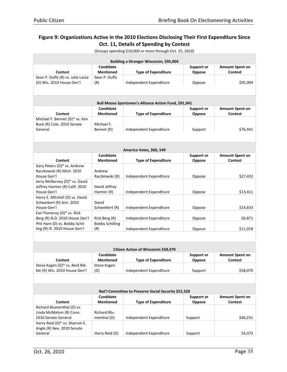|                                           |                        | Building a Stronger Wisconsin, \$95,004               |                   |                        |
|-------------------------------------------|------------------------|-------------------------------------------------------|-------------------|------------------------|
|                                           | Candidate              |                                                       | <b>Support or</b> | <b>Amount Spent on</b> |
| <b>Contest</b>                            | <b>Mentioned</b>       | <b>Type of Expenditure</b>                            | Oppose            | <b>Contest</b>         |
| Sean P. Duffy (R) vs. Julie Lassa         | Sean P. Duffy          |                                                       |                   |                        |
| (D) Wis. 2010 House Gen'l                 | (R)                    | Independent Expenditure                               | Oppose            | \$95,004               |
|                                           |                        |                                                       |                   |                        |
|                                           |                        |                                                       |                   |                        |
|                                           |                        |                                                       |                   |                        |
|                                           |                        | Bull Moose Sportsmen's Alliance Action Fund, \$91,041 |                   |                        |
|                                           | Candidate              |                                                       | <b>Support or</b> | <b>Amount Spent on</b> |
| Contest                                   | <b>Mentioned</b>       | <b>Type of Expenditure</b>                            | Oppose            | <b>Contest</b>         |
| Michael F. Bennet (D)* vs. Ken            |                        |                                                       |                   |                        |
| Buck (R) Colo. 2010 Senate                | Michael F.             |                                                       |                   |                        |
| General                                   | Bennet (D)             | Independent Expenditure                               | Support           | \$76,441               |
|                                           |                        |                                                       |                   |                        |
|                                           |                        |                                                       |                   |                        |
|                                           |                        | America Votes, \$60, 549                              |                   |                        |
|                                           | Candidate              |                                                       | <b>Support or</b> | <b>Amount Spent on</b> |
| <b>Contest</b>                            | <b>Mentioned</b>       | <b>Type of Expenditure</b>                            | Oppose            | <b>Contest</b>         |
| Gary Peters (D)* vs. Andrew               |                        |                                                       |                   |                        |
| Raczkowski (R) Mich. 2010                 | Andrew                 |                                                       |                   |                        |
| House Gen'l                               | Raczkowski (R)         | Independent Expenditure                               | Oppose            | \$27,432               |
| Jerry McNerney (D)* vs. David             |                        |                                                       |                   |                        |
| Jeffrey Harmer (R) Calif. 2010            | David Jeffrey          |                                                       |                   |                        |
| House Gen'l                               | Harmer (R)             | Independent Expenditure                               | Oppose            | \$13,411               |
| Harry E. Mitchell (D) vs. David           |                        |                                                       |                   |                        |
| Schweikert (R) Ariz. 2010                 | David                  |                                                       |                   |                        |
| House Gen'l<br>Earl Pomeroy (D)* vs. Rick | Schweikert (R)         | Independent Expenditure                               | Oppose            | \$14,633               |
| Berg (R) N.D. 2010 House Gen'l            | Rick Berg (R)          | Independent Expenditure                               | Oppose            | \$6,871                |
| Phil Hare (D) vs. Bobby Schil-            | <b>Bobby Schilling</b> |                                                       |                   |                        |
| ling (R) Ill. 2010 House Gen'l            | (R)                    | Independent Expenditure                               | Oppose            | \$11,918               |
|                                           |                        |                                                       |                   |                        |
|                                           |                        |                                                       |                   |                        |
|                                           |                        | Citizen Action of Wisconsin \$58,070                  |                   |                        |
|                                           | Candidate              |                                                       | <b>Support or</b> | <b>Amount Spent on</b> |
| <b>Contest</b>                            | <b>Mentioned</b>       | <b>Type of Expenditure</b>                            | Oppose            | <b>Contest</b>         |
| Steve Kagen (D)* vs. Reid Rib-            | Steve Kagen            |                                                       |                   |                        |
| ble (R) Wis. 2010 House Gen'l             | (D)                    | Independent Expenditure                               | Support           | \$58,070               |
|                                           |                        |                                                       |                   |                        |
|                                           |                        |                                                       |                   |                        |
|                                           |                        | Nat'l Committee to Preserve Social Security \$52,328  |                   |                        |
|                                           | Candidate              |                                                       | <b>Support or</b> | <b>Amount Spent on</b> |
| <b>Contest</b>                            | <b>Mentioned</b>       | <b>Type of Expenditure</b>                            | Oppose            | <b>Contest</b>         |
| Richard Blumenthal (D) vs.                |                        |                                                       |                   |                        |
| Linda McMahon (R) Conn.                   | Richard Blu-           |                                                       |                   |                        |
| 2010 Senate General                       | menthal (D)            | Independent Expenditure                               | Support           | \$46,231               |
| Harry Reid (D)* vs. Sharron E.            |                        |                                                       |                   |                        |
| Angle (R) Nev. 2010 Senate                |                        |                                                       |                   |                        |
| General                                   | Harry Reid (D)         | Independent Expenditure                               | Support           | \$4,073                |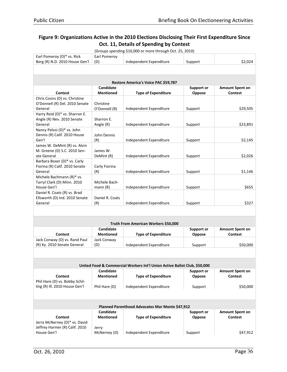| Earl Pomeroy (D)* vs. Rick                                      | Earl Pomeroy          |                                                                           |                   |                        |  |  |
|-----------------------------------------------------------------|-----------------------|---------------------------------------------------------------------------|-------------------|------------------------|--|--|
| Berg (R) N.D. 2010 House Gen'l                                  | (D)                   | Independent Expenditure                                                   | Support           | \$2,024                |  |  |
|                                                                 |                       |                                                                           |                   |                        |  |  |
|                                                                 |                       |                                                                           |                   |                        |  |  |
|                                                                 |                       | Restore America's Voice PAC \$59,787                                      |                   |                        |  |  |
|                                                                 | Candidate             |                                                                           | <b>Support or</b> | <b>Amount Spent on</b> |  |  |
| <b>Contest</b>                                                  | <b>Mentioned</b>      | <b>Type of Expenditure</b>                                                | Oppose            | <b>Contest</b>         |  |  |
| Chris Coons (D) vs. Christine                                   |                       |                                                                           |                   |                        |  |  |
| O'Donnell (R) Del. 2010 Senate                                  | Christine             |                                                                           |                   |                        |  |  |
| General                                                         | O'Donnell (R)         | Independent Expenditure                                                   | Support           | \$29,505               |  |  |
| Harry Reid (D)* vs. Sharron E.                                  |                       |                                                                           |                   |                        |  |  |
| Angle (R) Nev. 2010 Senate                                      | Sharron E.            |                                                                           |                   |                        |  |  |
| General                                                         | Angle (R)             | Independent Expenditure                                                   | Support           | \$23,891               |  |  |
| Nancy Pelosi (D)* vs. John                                      |                       |                                                                           |                   |                        |  |  |
| Dennis (R) Calif. 2010 House                                    | John Dennis           |                                                                           |                   |                        |  |  |
| Gen'l                                                           | (R)                   | Independent Expenditure                                                   | Support           | \$2,145                |  |  |
| James W. DeMint (R) vs. Alvin                                   |                       |                                                                           |                   |                        |  |  |
| M. Greene (D) S.C. 2010 Sen-                                    | James W.              |                                                                           |                   |                        |  |  |
| ate General                                                     | DeMint (R)            | Independent Expenditure                                                   | Support           | \$2,026                |  |  |
| Barbara Boxer (D)* vs. Carly                                    |                       |                                                                           |                   |                        |  |  |
| Fiorina (R) Calif. 2010 Senate                                  | Carly Fiorina         |                                                                           |                   |                        |  |  |
| General                                                         | (R)                   | Independent Expenditure                                                   | Support           | \$1,146                |  |  |
| Michele Bachmann (R)* vs.<br>Tarryl Clark (D) Minn. 2010        | Michele Bach-         |                                                                           |                   |                        |  |  |
| House Gen'l                                                     | mann (R)              | Independent Expenditure                                                   | Support           | \$655                  |  |  |
| Daniel R. Coats (R) vs. Brad                                    |                       |                                                                           |                   |                        |  |  |
| Ellsworth (D) Ind. 2010 Senate                                  | Daniel R. Coats       |                                                                           |                   |                        |  |  |
| General                                                         | (R)                   | Independent Expenditure                                                   | Support           | \$327                  |  |  |
|                                                                 |                       |                                                                           |                   |                        |  |  |
|                                                                 |                       |                                                                           |                   |                        |  |  |
|                                                                 |                       |                                                                           |                   |                        |  |  |
|                                                                 |                       | Truth From American Workers \$50,000                                      |                   |                        |  |  |
|                                                                 | Candidate             |                                                                           | <b>Support or</b> | <b>Amount Spent on</b> |  |  |
| <b>Contest</b><br>Jack Conway (D) vs. Rand Paul                 | <b>Mentioned</b>      | <b>Type of Expenditure</b>                                                | Oppose            | <b>Contest</b>         |  |  |
| (R) Ky. 2010 Senate General                                     | Jack Conway<br>(D)    | Independent Expenditure                                                   | Support           | \$50,000               |  |  |
|                                                                 |                       |                                                                           |                   |                        |  |  |
|                                                                 |                       |                                                                           |                   |                        |  |  |
|                                                                 |                       |                                                                           |                   |                        |  |  |
|                                                                 |                       | United Food & Commercial Workers Int'l Union Active Ballot Club, \$50,000 |                   |                        |  |  |
|                                                                 | Candidate             |                                                                           | <b>Support or</b> | <b>Amount Spent on</b> |  |  |
| <b>Contest</b>                                                  | <b>Mentioned</b>      | <b>Type of Expenditure</b>                                                | Oppose            | <b>Contest</b>         |  |  |
| Phil Hare (D) vs. Bobby Schil-                                  |                       |                                                                           |                   |                        |  |  |
| ling (R) Ill. 2010 House Gen'l                                  | Phil Hare (D)         | Independent Expenditure                                                   | Support           | \$50,000               |  |  |
|                                                                 |                       |                                                                           |                   |                        |  |  |
|                                                                 |                       |                                                                           |                   |                        |  |  |
|                                                                 |                       |                                                                           |                   |                        |  |  |
|                                                                 |                       | Planned Parenthood Advocates Mar Monte \$47,912                           |                   |                        |  |  |
|                                                                 | Candidate             |                                                                           | <b>Support or</b> | Amount Spent on        |  |  |
| <b>Contest</b>                                                  | <b>Mentioned</b>      | <b>Type of Expenditure</b>                                                | Oppose            | <b>Contest</b>         |  |  |
| Jerry McNerney (D)* vs. David<br>Jeffrey Harmer (R) Calif. 2010 |                       |                                                                           |                   |                        |  |  |
| House Gen'l                                                     | Jerry<br>McNerney (D) | Independent Expenditure                                                   | Support           | \$47,912               |  |  |
|                                                                 |                       |                                                                           |                   |                        |  |  |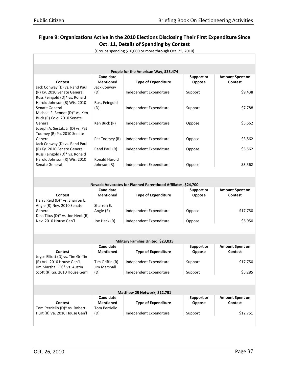|                                                              |                  | People for the American Way, \$33,474                        |                   |                        |  |
|--------------------------------------------------------------|------------------|--------------------------------------------------------------|-------------------|------------------------|--|
|                                                              | Candidate        |                                                              | <b>Support or</b> | <b>Amount Spent on</b> |  |
| Contest                                                      | <b>Mentioned</b> | <b>Type of Expenditure</b>                                   | Oppose            | <b>Contest</b>         |  |
| Jack Conway (D) vs. Rand Paul                                | Jack Conway      |                                                              |                   |                        |  |
| (R) Ky. 2010 Senate General                                  | (D)              | Independent Expenditure                                      | Support           | \$9,438                |  |
| Russ Feingold (D)* vs. Ronald                                |                  |                                                              |                   |                        |  |
| Harold Johnson (R) Wis. 2010                                 | Russ Feingold    |                                                              |                   |                        |  |
| Senate General                                               | (D)              | Independent Expenditure                                      | Support           | \$7,788                |  |
| Michael F. Bennet (D)* vs. Ken                               |                  |                                                              |                   |                        |  |
| Buck (R) Colo. 2010 Senate                                   |                  |                                                              |                   |                        |  |
| General                                                      | Ken Buck (R)     | Independent Expenditure                                      | Oppose            | \$5,562                |  |
| Joseph A. Sestak, Jr (D) vs. Pat                             |                  |                                                              |                   |                        |  |
| Toomey (R) Pa. 2010 Senate                                   |                  |                                                              |                   |                        |  |
| General                                                      | Pat Toomey (R)   | Independent Expenditure                                      | Oppose            | \$3,562                |  |
| Jack Conway (D) vs. Rand Paul<br>(R) Ky. 2010 Senate General | Rand Paul (R)    | Independent Expenditure                                      | Oppose            | \$3,562                |  |
| Russ Feingold (D)* vs. Ronald                                |                  |                                                              |                   |                        |  |
| Harold Johnson (R) Wis. 2010                                 | Ronald Harold    |                                                              |                   |                        |  |
| Senate General                                               | Johnson (R)      | Independent Expenditure                                      | Oppose            | \$3,562                |  |
|                                                              |                  |                                                              |                   |                        |  |
|                                                              |                  |                                                              |                   |                        |  |
|                                                              |                  |                                                              |                   |                        |  |
|                                                              |                  | Nevada Advocates for Planned Parenthood Affiliates, \$24,700 |                   |                        |  |
|                                                              | Candidate        |                                                              | <b>Support or</b> | Amount Spent on        |  |
| <b>Contest</b>                                               | <b>Mentioned</b> | <b>Type of Expenditure</b>                                   | Oppose            | <b>Contest</b>         |  |
| Harry Reid (D)* vs. Sharron E.<br>Angle (R) Nev. 2010 Senate | Sharron E.       |                                                              |                   |                        |  |
| General                                                      | Angle (R)        | Independent Expenditure                                      | Oppose            | \$17,750               |  |
| Dina Titus (D)* vs. Joe Heck (R)                             |                  |                                                              |                   |                        |  |
| Nev. 2010 House Gen'l                                        | Joe Heck (R)     | Independent Expenditure                                      | Oppose            | \$6,950                |  |
|                                                              |                  |                                                              |                   |                        |  |
|                                                              |                  |                                                              |                   |                        |  |
|                                                              |                  | Military Families United, \$23,035                           |                   |                        |  |
|                                                              | Candidate        |                                                              | <b>Support or</b> | <b>Amount Spent on</b> |  |
| <b>Contest</b>                                               | <b>Mentioned</b> | <b>Type of Expenditure</b>                                   | Oppose            | <b>Contest</b>         |  |
| Joyce Elliott (D) vs. Tim Griffin                            |                  |                                                              |                   |                        |  |
| (R) Ark. 2010 House Gen'l                                    | Tim Griffin (R)  | Independent Expenditure                                      | Support           | \$17,750               |  |
| Jim Marshall (D)* vs. Austin                                 | Jim Marshall     |                                                              |                   |                        |  |
| Scott (R) Ga. 2010 House Gen'l                               | (D)              | Independent Expenditure                                      | Support           | \$5,285                |  |
|                                                              |                  |                                                              |                   |                        |  |
|                                                              |                  |                                                              |                   |                        |  |
|                                                              |                  | Matthew 25 Network, \$12,751                                 |                   |                        |  |
|                                                              | Candidate        |                                                              | <b>Support or</b> | Amount Spent on        |  |
| <b>Contest</b>                                               | <b>Mentioned</b> | <b>Type of Expenditure</b>                                   | Oppose            | <b>Contest</b>         |  |
| Tom Perriello (D)* vs. Robert                                | Tom Perriello    |                                                              |                   |                        |  |
| Hurt (R) Va. 2010 House Gen'l                                | (D)              | Independent Expenditure                                      | Support           | \$12,751               |  |
|                                                              |                  |                                                              |                   |                        |  |
|                                                              |                  |                                                              |                   |                        |  |